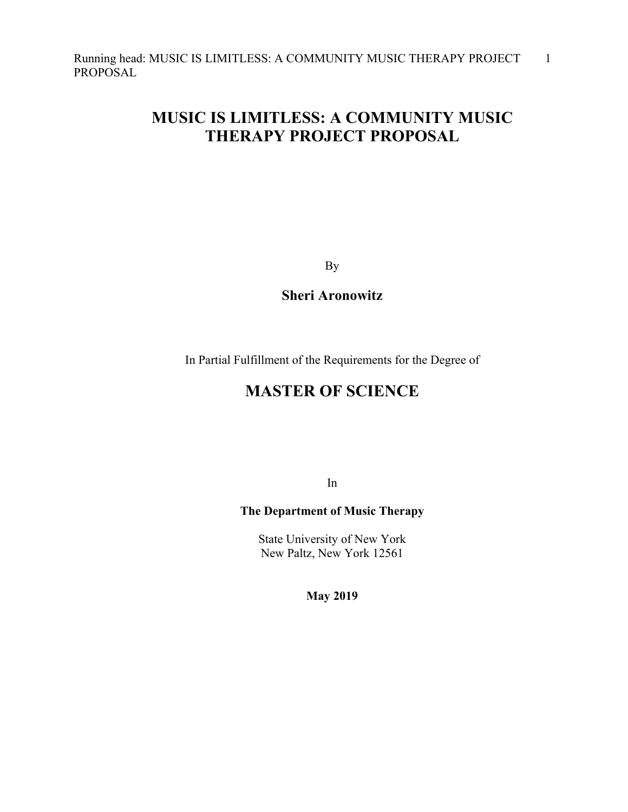# **MUSIC IS LIMITLESS: A COMMUNITY MUSIC THERAPY PROJECT PROPOSAL**

By

**Sheri Aronowitz**

In Partial Fulfillment of the Requirements for the Degree of

## **MASTER OF SCIENCE**

In

## **The Department of Music Therapy**

State University of New York New Paltz, New York 12561

**May 2019**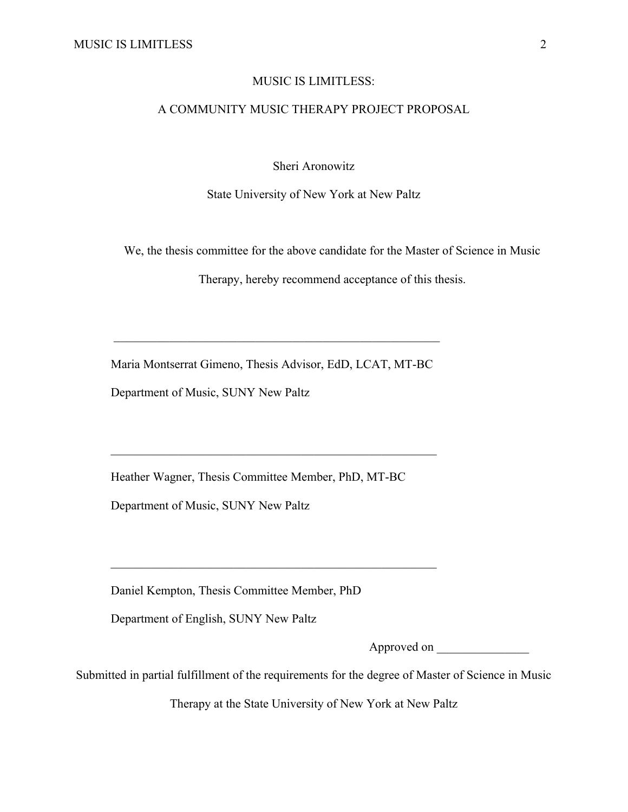#### MUSIC IS LIMITLESS:

## A COMMUNITY MUSIC THERAPY PROJECT PROPOSAL

Sheri Aronowitz

State University of New York at New Paltz

We, the thesis committee for the above candidate for the Master of Science in Music

Therapy, hereby recommend acceptance of this thesis.

Maria Montserrat Gimeno, Thesis Advisor, EdD, LCAT, MT-BC

Department of Music, SUNY New Paltz

Heather Wagner, Thesis Committee Member, PhD, MT-BC

Department of Music, SUNY New Paltz

Daniel Kempton, Thesis Committee Member, PhD

Department of English, SUNY New Paltz

Approved on \_\_\_\_\_\_\_\_\_\_\_\_\_\_\_

Submitted in partial fulfillment of the requirements for the degree of Master of Science in Music

Therapy at the State University of New York at New Paltz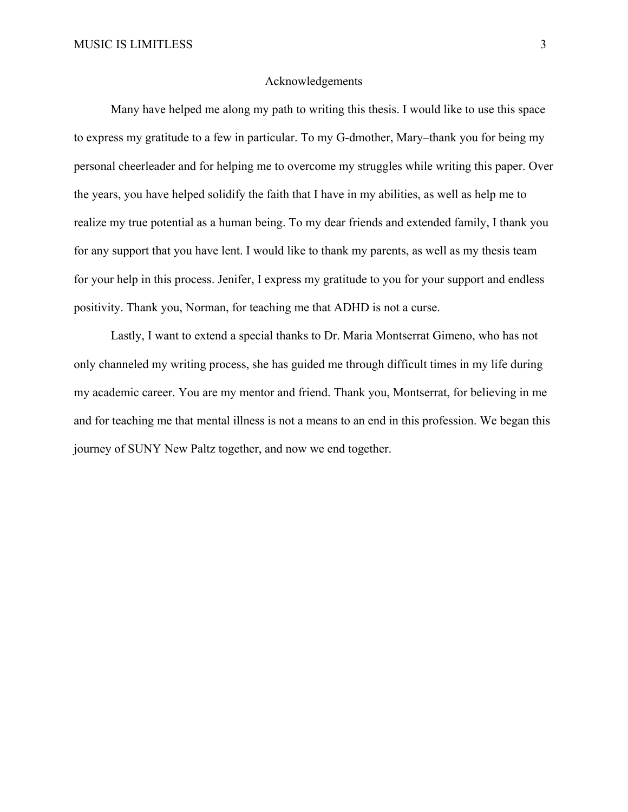#### Acknowledgements

Many have helped me along my path to writing this thesis. I would like to use this space to express my gratitude to a few in particular. To my G-dmother, Mary–thank you for being my personal cheerleader and for helping me to overcome my struggles while writing this paper. Over the years, you have helped solidify the faith that I have in my abilities, as well as help me to realize my true potential as a human being. To my dear friends and extended family, I thank you for any support that you have lent. I would like to thank my parents, as well as my thesis team for your help in this process. Jenifer, I express my gratitude to you for your support and endless positivity. Thank you, Norman, for teaching me that ADHD is not a curse.

Lastly, I want to extend a special thanks to Dr. Maria Montserrat Gimeno, who has not only channeled my writing process, she has guided me through difficult times in my life during my academic career. You are my mentor and friend. Thank you, Montserrat, for believing in me and for teaching me that mental illness is not a means to an end in this profession. We began this journey of SUNY New Paltz together, and now we end together.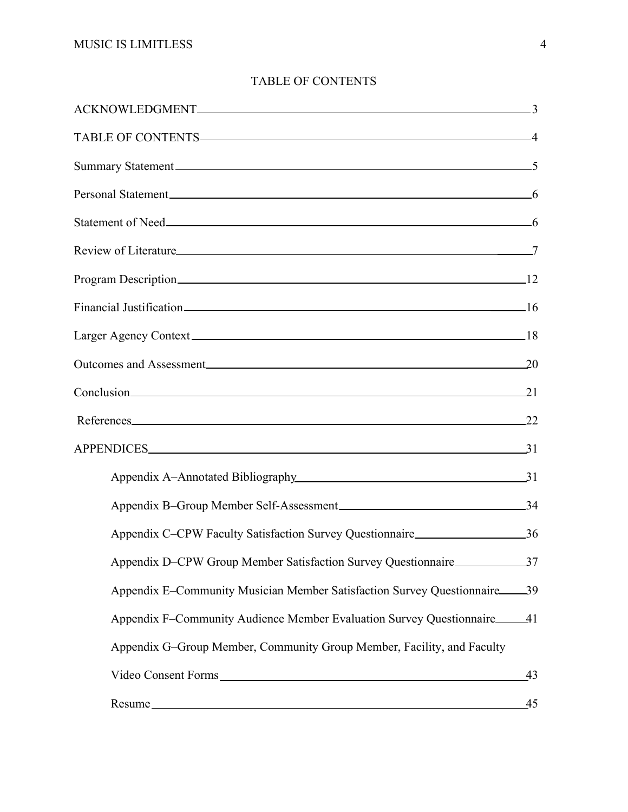| TABLE OF CONTENTS 4                                                                                                                                                                                                                 |    |
|-------------------------------------------------------------------------------------------------------------------------------------------------------------------------------------------------------------------------------------|----|
| Summary Statement 5                                                                                                                                                                                                                 |    |
| Personal Statement 6                                                                                                                                                                                                                |    |
| Statement of Need <u>statement</u> of Need statement of Need statement of Need statement of Need statement of Need statement of Need statement of Need statement of Need statement of Need statement of Need statement of Need stat |    |
|                                                                                                                                                                                                                                     |    |
|                                                                                                                                                                                                                                     |    |
| Financial Justification 16                                                                                                                                                                                                          |    |
|                                                                                                                                                                                                                                     |    |
| Outcomes and Assessment 20                                                                                                                                                                                                          |    |
| Conclusion 21                                                                                                                                                                                                                       |    |
| References 22                                                                                                                                                                                                                       |    |
| APPENDICES 31                                                                                                                                                                                                                       |    |
| Appendix A-Annotated Bibliography 31                                                                                                                                                                                                |    |
|                                                                                                                                                                                                                                     |    |
| Appendix C–CPW Faculty Satisfaction Survey Questionnaire 26                                                                                                                                                                         |    |
| Appendix D–CPW Group Member Satisfaction Survey Questionnaire<br>37                                                                                                                                                                 |    |
| Appendix E-Community Musician Member Satisfaction Survey Questionnaire 39                                                                                                                                                           |    |
| Appendix F-Community Audience Member Evaluation Survey Questionnaire 41                                                                                                                                                             |    |
| Appendix G-Group Member, Community Group Member, Facility, and Faculty                                                                                                                                                              |    |
| Video Consent Forms                                                                                                                                                                                                                 | 43 |
| Resume                                                                                                                                                                                                                              | 45 |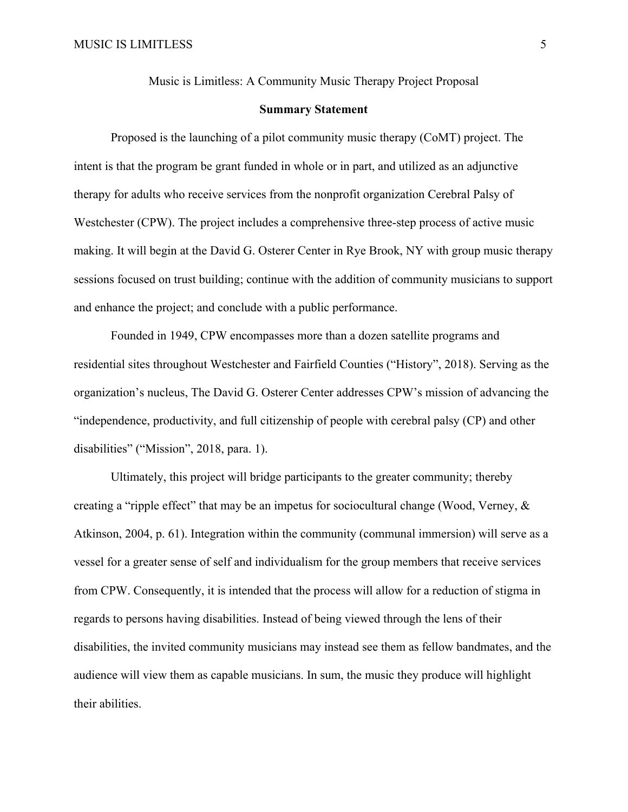Music is Limitless: A Community Music Therapy Project Proposal

#### **Summary Statement**

Proposed is the launching of a pilot community music therapy (CoMT) project. The intent is that the program be grant funded in whole or in part, and utilized as an adjunctive therapy for adults who receive services from the nonprofit organization Cerebral Palsy of Westchester (CPW). The project includes a comprehensive three-step process of active music making. It will begin at the David G. Osterer Center in Rye Brook, NY with group music therapy sessions focused on trust building; continue with the addition of community musicians to support and enhance the project; and conclude with a public performance.

Founded in 1949, CPW encompasses more than a dozen satellite programs and residential sites throughout Westchester and Fairfield Counties ("History", 2018). Serving as the organization's nucleus, The David G. Osterer Center addresses CPW's mission of advancing the "independence, productivity, and full citizenship of people with cerebral palsy (CP) and other disabilities" ("Mission", 2018, para. 1).

Ultimately, this project will bridge participants to the greater community; thereby creating a "ripple effect" that may be an impetus for sociocultural change (Wood, Verney, & Atkinson, 2004, p. 61). Integration within the community (communal immersion) will serve as a vessel for a greater sense of self and individualism for the group members that receive services from CPW. Consequently, it is intended that the process will allow for a reduction of stigma in regards to persons having disabilities. Instead of being viewed through the lens of their disabilities, the invited community musicians may instead see them as fellow bandmates, and the audience will view them as capable musicians. In sum, the music they produce will highlight their abilities.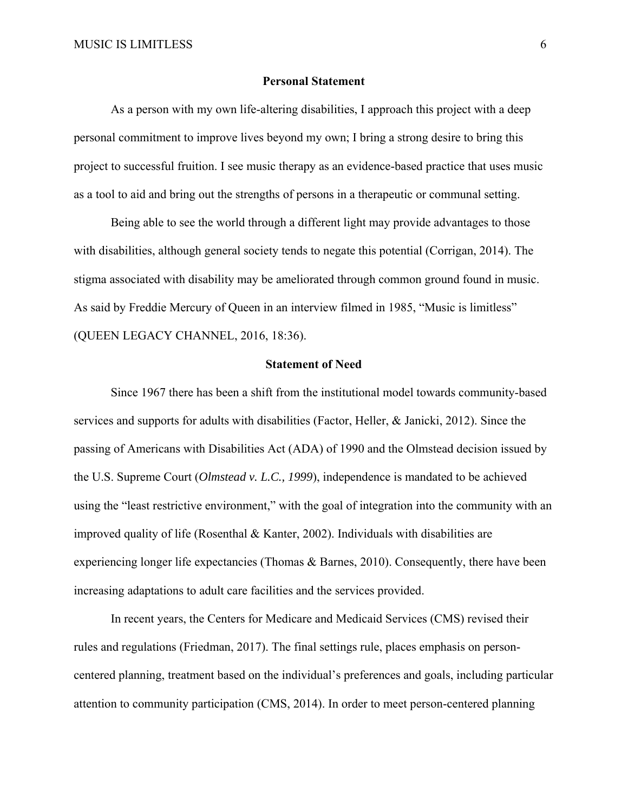#### **Personal Statement**

As a person with my own life-altering disabilities, I approach this project with a deep personal commitment to improve lives beyond my own; I bring a strong desire to bring this project to successful fruition. I see music therapy as an evidence-based practice that uses music as a tool to aid and bring out the strengths of persons in a therapeutic or communal setting.

Being able to see the world through a different light may provide advantages to those with disabilities, although general society tends to negate this potential (Corrigan, 2014). The stigma associated with disability may be ameliorated through common ground found in music. As said by Freddie Mercury of Queen in an interview filmed in 1985, "Music is limitless" (QUEEN LEGACY CHANNEL, 2016, 18:36).

#### **Statement of Need**

Since 1967 there has been a shift from the institutional model towards community-based services and supports for adults with disabilities (Factor, Heller, & Janicki, 2012). Since the passing of Americans with Disabilities Act (ADA) of 1990 and the Olmstead decision issued by the U.S. Supreme Court (*Olmstead v. L.C., 1999*), independence is mandated to be achieved using the "least restrictive environment," with the goal of integration into the community with an improved quality of life (Rosenthal & Kanter, 2002). Individuals with disabilities are experiencing longer life expectancies (Thomas & Barnes, 2010). Consequently, there have been increasing adaptations to adult care facilities and the services provided.

In recent years, the Centers for Medicare and Medicaid Services (CMS) revised their rules and regulations (Friedman, 2017). The final settings rule, places emphasis on personcentered planning, treatment based on the individual's preferences and goals, including particular attention to community participation (CMS, 2014). In order to meet person-centered planning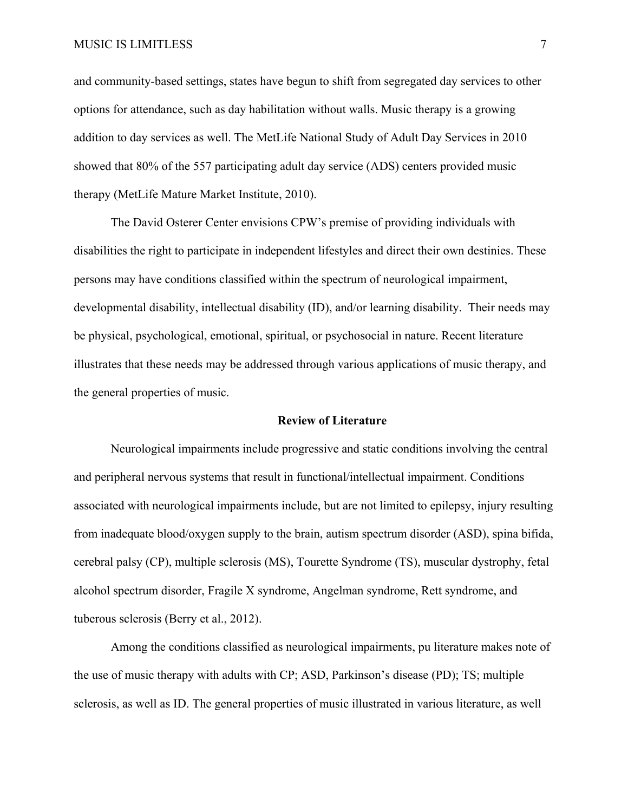#### MUSIC IS LIMITLESS 7

and community-based settings, states have begun to shift from segregated day services to other options for attendance, such as day habilitation without walls. Music therapy is a growing addition to day services as well. The MetLife National Study of Adult Day Services in 2010 showed that 80% of the 557 participating adult day service (ADS) centers provided music therapy (MetLife Mature Market Institute, 2010).

The David Osterer Center envisions CPW's premise of providing individuals with disabilities the right to participate in independent lifestyles and direct their own destinies. These persons may have conditions classified within the spectrum of neurological impairment, developmental disability, intellectual disability (ID), and/or learning disability. Their needs may be physical, psychological, emotional, spiritual, or psychosocial in nature. Recent literature illustrates that these needs may be addressed through various applications of music therapy, and the general properties of music.

#### **Review of Literature**

Neurological impairments include progressive and static conditions involving the central and peripheral nervous systems that result in functional/intellectual impairment. Conditions associated with neurological impairments include, but are not limited to epilepsy, injury resulting from inadequate blood/oxygen supply to the brain, autism spectrum disorder (ASD), spina bifida, cerebral palsy (CP), multiple sclerosis (MS), Tourette Syndrome (TS), muscular dystrophy, fetal alcohol spectrum disorder, Fragile X syndrome, Angelman syndrome, Rett syndrome, and tuberous sclerosis (Berry et al., 2012).

Among the conditions classified as neurological impairments, pu literature makes note of the use of music therapy with adults with CP; ASD, Parkinson's disease (PD); TS; multiple sclerosis, as well as ID. The general properties of music illustrated in various literature, as well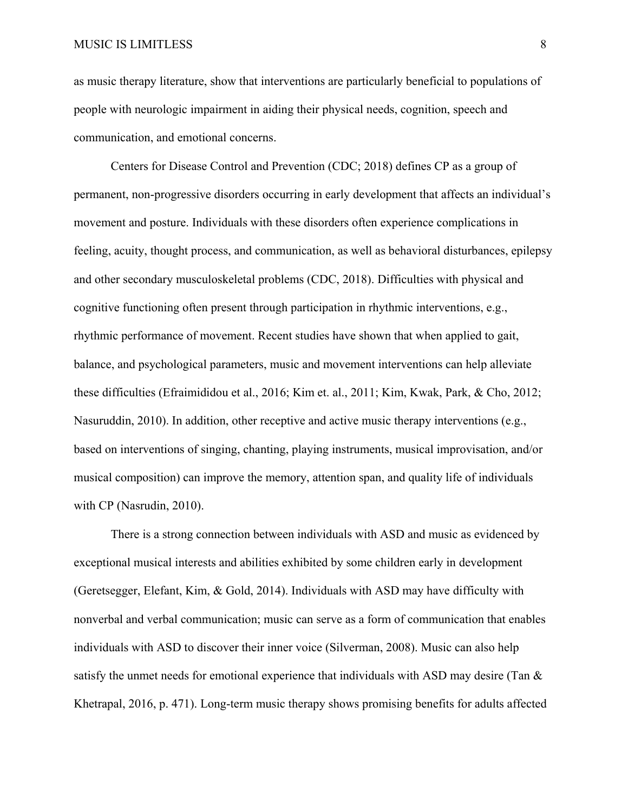as music therapy literature, show that interventions are particularly beneficial to populations of people with neurologic impairment in aiding their physical needs, cognition, speech and communication, and emotional concerns.

Centers for Disease Control and Prevention (CDC; 2018) defines CP as a group of permanent, non-progressive disorders occurring in early development that affects an individual's movement and posture. Individuals with these disorders often experience complications in feeling, acuity, thought process, and communication, as well as behavioral disturbances, epilepsy and other secondary musculoskeletal problems (CDC, 2018). Difficulties with physical and cognitive functioning often present through participation in rhythmic interventions, e.g., rhythmic performance of movement. Recent studies have shown that when applied to gait, balance, and psychological parameters, music and movement interventions can help alleviate these difficulties (Efraimididou et al., 2016; Kim et. al., 2011; Kim, Kwak, Park, & Cho, 2012; Nasuruddin, 2010). In addition, other receptive and active music therapy interventions (e.g., based on interventions of singing, chanting, playing instruments, musical improvisation, and/or musical composition) can improve the memory, attention span, and quality life of individuals with CP (Nasrudin, 2010).

There is a strong connection between individuals with ASD and music as evidenced by exceptional musical interests and abilities exhibited by some children early in development (Geretsegger, Elefant, Kim, & Gold, 2014). Individuals with ASD may have difficulty with nonverbal and verbal communication; music can serve as a form of communication that enables individuals with ASD to discover their inner voice (Silverman, 2008). Music can also help satisfy the unmet needs for emotional experience that individuals with ASD may desire (Tan & Khetrapal, 2016, p. 471). Long-term music therapy shows promising benefits for adults affected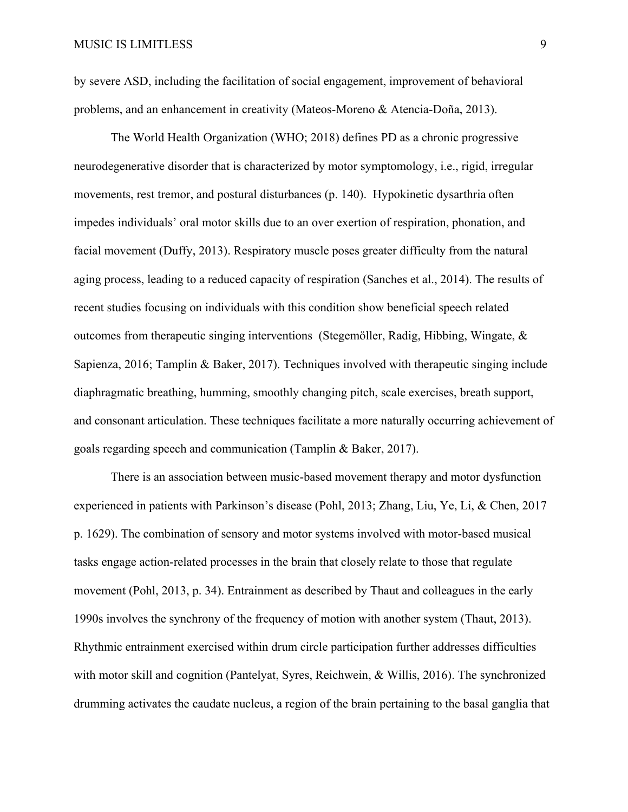by severe ASD, including the facilitation of social engagement, improvement of behavioral problems, and an enhancement in creativity (Mateos-Moreno & Atencia-Doña, 2013).

The World Health Organization (WHO; 2018) defines PD as a chronic progressive neurodegenerative disorder that is characterized by motor symptomology, i.e., rigid, irregular movements, rest tremor, and postural disturbances (p. 140). Hypokinetic dysarthria often impedes individuals' oral motor skills due to an over exertion of respiration, phonation, and facial movement (Duffy, 2013). Respiratory muscle poses greater difficulty from the natural aging process, leading to a reduced capacity of respiration (Sanches et al., 2014). The results of recent studies focusing on individuals with this condition show beneficial speech related outcomes from therapeutic singing interventions (Stegemöller, Radig, Hibbing, Wingate,  $\&$ Sapienza, 2016; Tamplin & Baker, 2017). Techniques involved with therapeutic singing include diaphragmatic breathing, humming, smoothly changing pitch, scale exercises, breath support, and consonant articulation. These techniques facilitate a more naturally occurring achievement of goals regarding speech and communication (Tamplin & Baker, 2017).

There is an association between music-based movement therapy and motor dysfunction experienced in patients with Parkinson's disease (Pohl, 2013; Zhang, Liu, Ye, Li, & Chen, 2017 p. 1629). The combination of sensory and motor systems involved with motor-based musical tasks engage action-related processes in the brain that closely relate to those that regulate movement (Pohl, 2013, p. 34). Entrainment as described by Thaut and colleagues in the early 1990s involves the synchrony of the frequency of motion with another system (Thaut, 2013). Rhythmic entrainment exercised within drum circle participation further addresses difficulties with motor skill and cognition (Pantelyat, Syres, Reichwein, & Willis, 2016). The synchronized drumming activates the caudate nucleus, a region of the brain pertaining to the basal ganglia that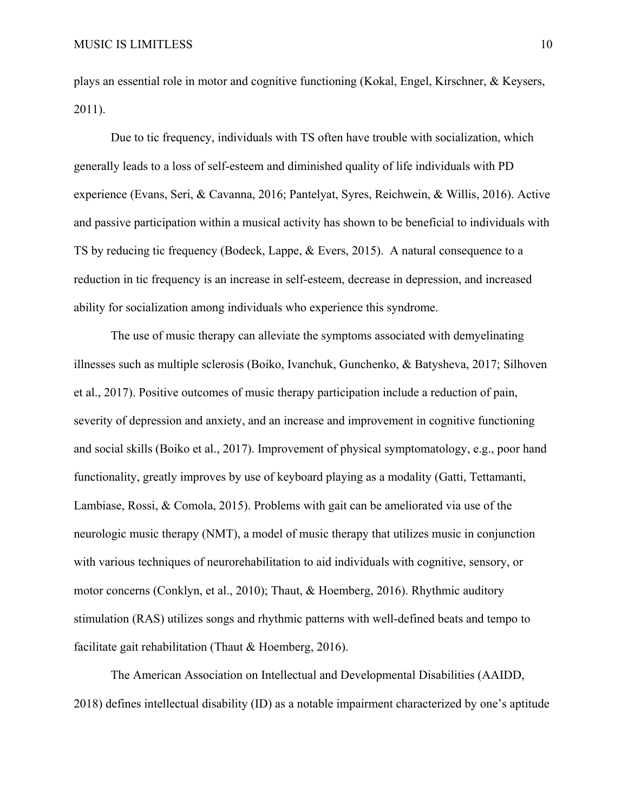plays an essential role in motor and cognitive functioning (Kokal, Engel, Kirschner, & Keysers, 2011).

Due to tic frequency, individuals with TS often have trouble with socialization, which generally leads to a loss of self-esteem and diminished quality of life individuals with PD experience (Evans, Seri, & Cavanna, 2016; Pantelyat, Syres, Reichwein, & Willis, 2016). Active and passive participation within a musical activity has shown to be beneficial to individuals with TS by reducing tic frequency (Bodeck, Lappe, & Evers, 2015). A natural consequence to a reduction in tic frequency is an increase in self-esteem, decrease in depression, and increased ability for socialization among individuals who experience this syndrome.

The use of music therapy can alleviate the symptoms associated with demyelinating illnesses such as multiple sclerosis (Boiko, Ivanchuk, Gunchenko, & Batysheva, 2017; Silhoven et al., 2017). Positive outcomes of music therapy participation include a reduction of pain, severity of depression and anxiety, and an increase and improvement in cognitive functioning and social skills (Boiko et al., 2017). Improvement of physical symptomatology, e.g., poor hand functionality, greatly improves by use of keyboard playing as a modality (Gatti, Tettamanti, Lambiase, Rossi, & Comola, 2015). Problems with gait can be ameliorated via use of the neurologic music therapy (NMT), a model of music therapy that utilizes music in conjunction with various techniques of neurorehabilitation to aid individuals with cognitive, sensory, or motor concerns (Conklyn, et al., 2010); Thaut, & Hoemberg, 2016). Rhythmic auditory stimulation (RAS) utilizes songs and rhythmic patterns with well-defined beats and tempo to facilitate gait rehabilitation (Thaut & Hoemberg, 2016).

The American Association on Intellectual and Developmental Disabilities (AAIDD, 2018) defines intellectual disability (ID) as a notable impairment characterized by one's aptitude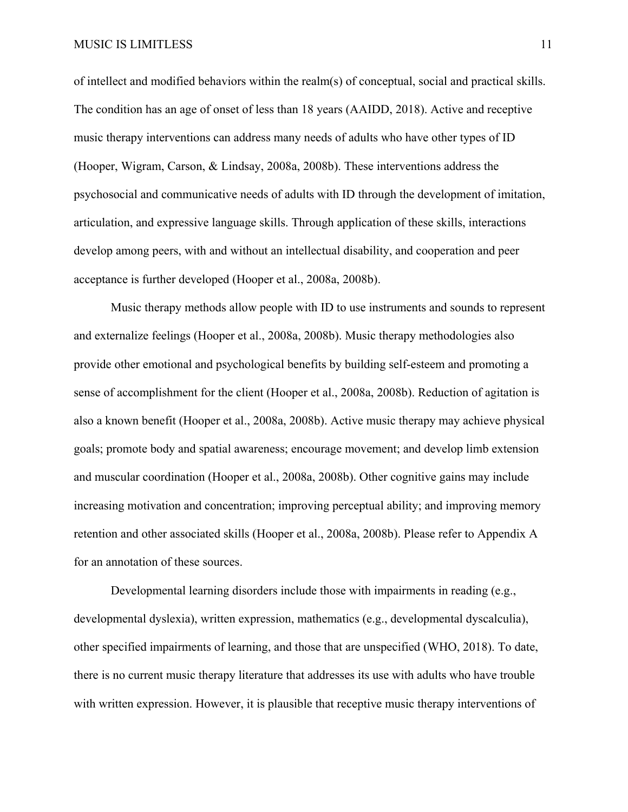MUSIC IS LIMITLESS 11

of intellect and modified behaviors within the realm(s) of conceptual, social and practical skills. The condition has an age of onset of less than 18 years (AAIDD, 2018). Active and receptive music therapy interventions can address many needs of adults who have other types of ID (Hooper, Wigram, Carson, & Lindsay, 2008a, 2008b). These interventions address the psychosocial and communicative needs of adults with ID through the development of imitation, articulation, and expressive language skills. Through application of these skills, interactions develop among peers, with and without an intellectual disability, and cooperation and peer acceptance is further developed (Hooper et al., 2008a, 2008b).

Music therapy methods allow people with ID to use instruments and sounds to represent and externalize feelings (Hooper et al., 2008a, 2008b). Music therapy methodologies also provide other emotional and psychological benefits by building self-esteem and promoting a sense of accomplishment for the client (Hooper et al., 2008a, 2008b). Reduction of agitation is also a known benefit (Hooper et al., 2008a, 2008b). Active music therapy may achieve physical goals; promote body and spatial awareness; encourage movement; and develop limb extension and muscular coordination (Hooper et al., 2008a, 2008b). Other cognitive gains may include increasing motivation and concentration; improving perceptual ability; and improving memory retention and other associated skills (Hooper et al., 2008a, 2008b). Please refer to Appendix A for an annotation of these sources.

Developmental learning disorders include those with impairments in reading (e.g., developmental dyslexia), written expression, mathematics (e.g., developmental dyscalculia), other specified impairments of learning, and those that are unspecified (WHO, 2018). To date, there is no current music therapy literature that addresses its use with adults who have trouble with written expression. However, it is plausible that receptive music therapy interventions of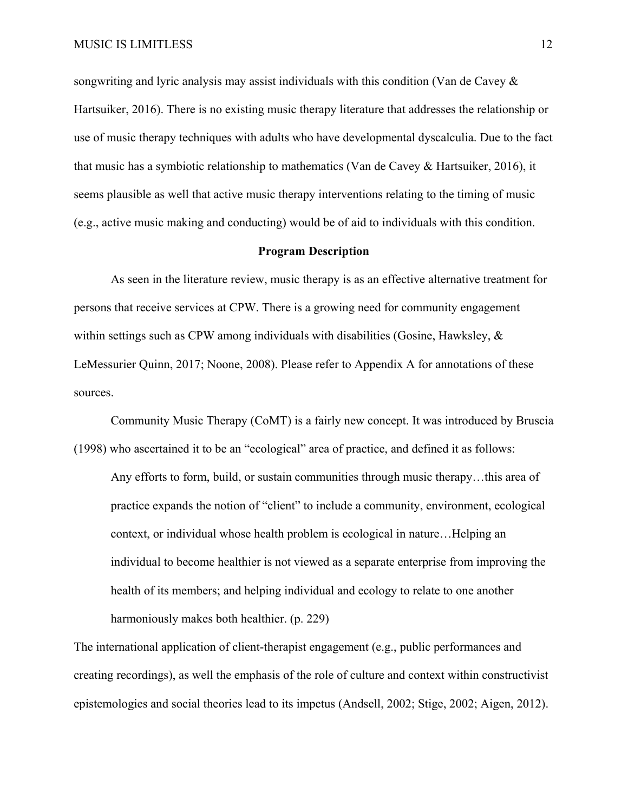songwriting and lyric analysis may assist individuals with this condition (Van de Cavey & Hartsuiker, 2016). There is no existing music therapy literature that addresses the relationship or use of music therapy techniques with adults who have developmental dyscalculia. Due to the fact that music has a symbiotic relationship to mathematics (Van de Cavey & Hartsuiker, 2016), it seems plausible as well that active music therapy interventions relating to the timing of music (e.g., active music making and conducting) would be of aid to individuals with this condition.

#### **Program Description**

As seen in the literature review, music therapy is as an effective alternative treatment for persons that receive services at CPW. There is a growing need for community engagement within settings such as CPW among individuals with disabilities (Gosine, Hawksley,  $\&$ LeMessurier Quinn, 2017; Noone, 2008). Please refer to Appendix A for annotations of these sources.

Community Music Therapy (CoMT) is a fairly new concept. It was introduced by Bruscia (1998) who ascertained it to be an "ecological" area of practice, and defined it as follows:

Any efforts to form, build, or sustain communities through music therapy…this area of practice expands the notion of "client" to include a community, environment, ecological context, or individual whose health problem is ecological in nature…Helping an individual to become healthier is not viewed as a separate enterprise from improving the health of its members; and helping individual and ecology to relate to one another harmoniously makes both healthier. (p. 229)

The international application of client-therapist engagement (e.g., public performances and creating recordings), as well the emphasis of the role of culture and context within constructivist epistemologies and social theories lead to its impetus (Andsell, 2002; Stige, 2002; Aigen, 2012).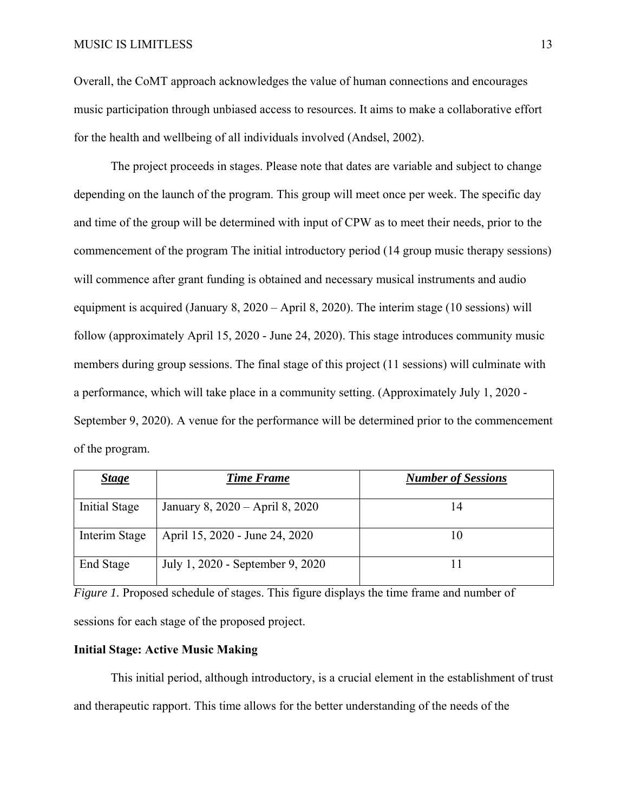Overall, the CoMT approach acknowledges the value of human connections and encourages music participation through unbiased access to resources. It aims to make a collaborative effort for the health and wellbeing of all individuals involved (Andsel, 2002).

The project proceeds in stages. Please note that dates are variable and subject to change depending on the launch of the program. This group will meet once per week. The specific day and time of the group will be determined with input of CPW as to meet their needs, prior to the commencement of the program The initial introductory period (14 group music therapy sessions) will commence after grant funding is obtained and necessary musical instruments and audio equipment is acquired (January 8, 2020 – April 8, 2020). The interim stage (10 sessions) will follow (approximately April 15, 2020 - June 24, 2020). This stage introduces community music members during group sessions. The final stage of this project (11 sessions) will culminate with a performance, which will take place in a community setting. (Approximately July 1, 2020 - September 9, 2020). A venue for the performance will be determined prior to the commencement of the program.

| <b>Stage</b>         | <b>Time Frame</b>                | <b>Number of Sessions</b> |
|----------------------|----------------------------------|---------------------------|
|                      |                                  |                           |
| <b>Initial Stage</b> | January 8, 2020 – April 8, 2020  |                           |
|                      |                                  |                           |
| Interim Stage        | April 15, 2020 - June 24, 2020   |                           |
|                      |                                  |                           |
| End Stage            | July 1, 2020 - September 9, 2020 |                           |
|                      |                                  |                           |

*Figure 1*. Proposed schedule of stages. This figure displays the time frame and number of sessions for each stage of the proposed project.

## **Initial Stage: Active Music Making**

This initial period, although introductory, is a crucial element in the establishment of trust and therapeutic rapport. This time allows for the better understanding of the needs of the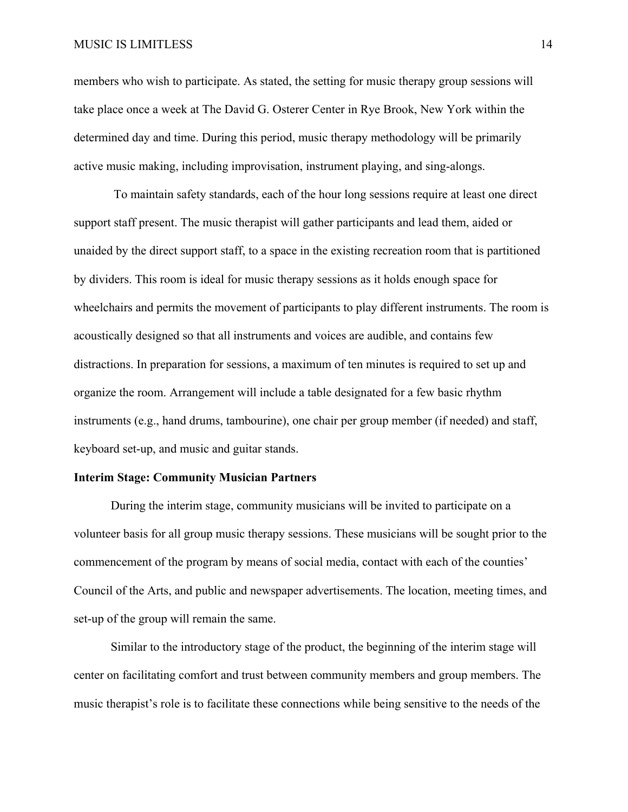#### MUSIC IS LIMITLESS 14

members who wish to participate. As stated, the setting for music therapy group sessions will take place once a week at The David G. Osterer Center in Rye Brook, New York within the determined day and time. During this period, music therapy methodology will be primarily active music making, including improvisation, instrument playing, and sing-alongs.

 To maintain safety standards, each of the hour long sessions require at least one direct support staff present. The music therapist will gather participants and lead them, aided or unaided by the direct support staff, to a space in the existing recreation room that is partitioned by dividers. This room is ideal for music therapy sessions as it holds enough space for wheelchairs and permits the movement of participants to play different instruments. The room is acoustically designed so that all instruments and voices are audible, and contains few distractions. In preparation for sessions, a maximum of ten minutes is required to set up and organize the room. Arrangement will include a table designated for a few basic rhythm instruments (e.g., hand drums, tambourine), one chair per group member (if needed) and staff, keyboard set-up, and music and guitar stands.

#### **Interim Stage: Community Musician Partners**

During the interim stage, community musicians will be invited to participate on a volunteer basis for all group music therapy sessions. These musicians will be sought prior to the commencement of the program by means of social media, contact with each of the counties' Council of the Arts, and public and newspaper advertisements. The location, meeting times, and set-up of the group will remain the same.

 Similar to the introductory stage of the product, the beginning of the interim stage will center on facilitating comfort and trust between community members and group members. The music therapist's role is to facilitate these connections while being sensitive to the needs of the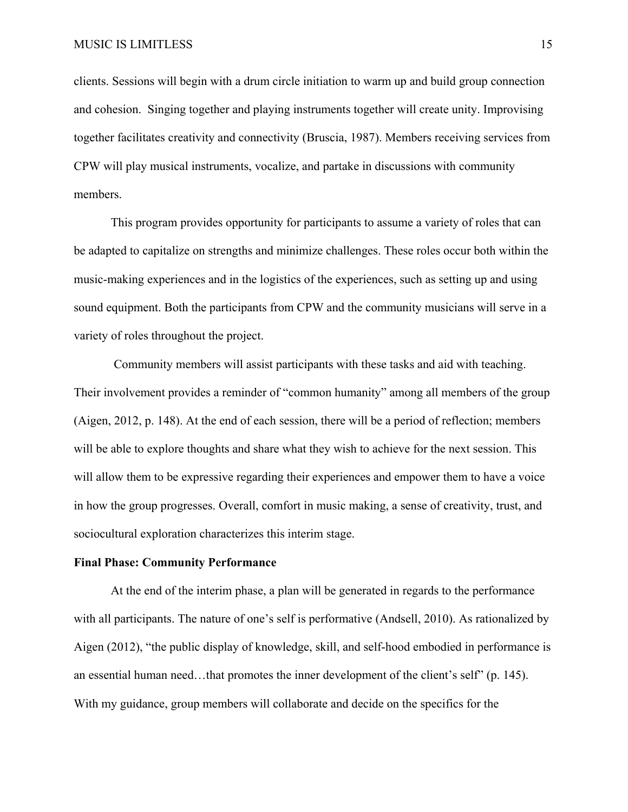clients. Sessions will begin with a drum circle initiation to warm up and build group connection and cohesion. Singing together and playing instruments together will create unity. Improvising together facilitates creativity and connectivity (Bruscia, 1987). Members receiving services from CPW will play musical instruments, vocalize, and partake in discussions with community members.

This program provides opportunity for participants to assume a variety of roles that can be adapted to capitalize on strengths and minimize challenges. These roles occur both within the music-making experiences and in the logistics of the experiences, such as setting up and using sound equipment. Both the participants from CPW and the community musicians will serve in a variety of roles throughout the project.

 Community members will assist participants with these tasks and aid with teaching. Their involvement provides a reminder of "common humanity" among all members of the group (Aigen, 2012, p. 148). At the end of each session, there will be a period of reflection; members will be able to explore thoughts and share what they wish to achieve for the next session. This will allow them to be expressive regarding their experiences and empower them to have a voice in how the group progresses. Overall, comfort in music making, a sense of creativity, trust, and sociocultural exploration characterizes this interim stage.

#### **Final Phase: Community Performance**

At the end of the interim phase, a plan will be generated in regards to the performance with all participants. The nature of one's self is performative (Andsell, 2010). As rationalized by Aigen (2012), "the public display of knowledge, skill, and self-hood embodied in performance is an essential human need...that promotes the inner development of the client's self" (p. 145). With my guidance, group members will collaborate and decide on the specifics for the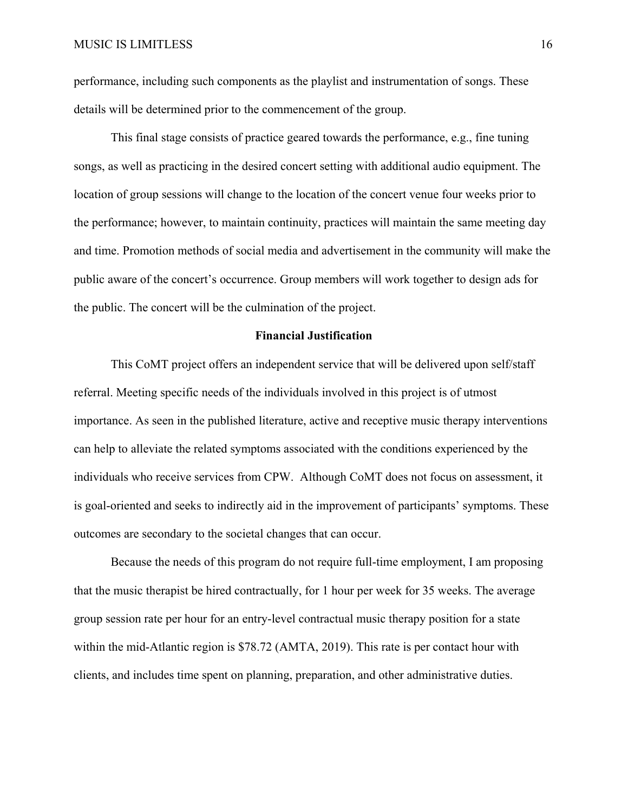performance, including such components as the playlist and instrumentation of songs. These details will be determined prior to the commencement of the group.

This final stage consists of practice geared towards the performance, e.g., fine tuning songs, as well as practicing in the desired concert setting with additional audio equipment. The location of group sessions will change to the location of the concert venue four weeks prior to the performance; however, to maintain continuity, practices will maintain the same meeting day and time. Promotion methods of social media and advertisement in the community will make the public aware of the concert's occurrence. Group members will work together to design ads for the public. The concert will be the culmination of the project.

#### **Financial Justification**

This CoMT project offers an independent service that will be delivered upon self/staff referral. Meeting specific needs of the individuals involved in this project is of utmost importance. As seen in the published literature, active and receptive music therapy interventions can help to alleviate the related symptoms associated with the conditions experienced by the individuals who receive services from CPW. Although CoMT does not focus on assessment, it is goal-oriented and seeks to indirectly aid in the improvement of participants' symptoms. These outcomes are secondary to the societal changes that can occur.

Because the needs of this program do not require full-time employment, I am proposing that the music therapist be hired contractually, for 1 hour per week for 35 weeks. The average group session rate per hour for an entry-level contractual music therapy position for a state within the mid-Atlantic region is \$78.72 (AMTA, 2019). This rate is per contact hour with clients, and includes time spent on planning, preparation, and other administrative duties.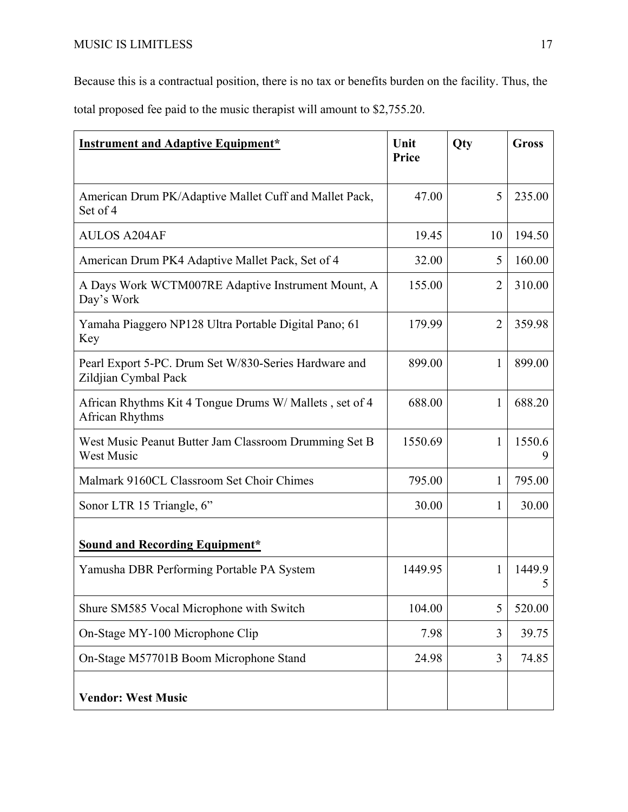Because this is a contractual position, there is no tax or benefits burden on the facility. Thus, the total proposed fee paid to the music therapist will amount to \$2,755.20.

| <b>Instrument and Adaptive Equipment*</b>                                     | Unit<br>Price | Qty            | <b>Gross</b> |
|-------------------------------------------------------------------------------|---------------|----------------|--------------|
| American Drum PK/Adaptive Mallet Cuff and Mallet Pack,<br>Set of 4            | 47.00         | 5              | 235.00       |
| <b>AULOS A204AF</b>                                                           | 19.45         | 10             | 194.50       |
| American Drum PK4 Adaptive Mallet Pack, Set of 4                              | 32.00         | 5              | 160.00       |
| A Days Work WCTM007RE Adaptive Instrument Mount, A<br>Day's Work              | 155.00        | $\overline{2}$ | 310.00       |
| Yamaha Piaggero NP128 Ultra Portable Digital Pano; 61<br>Key                  | 179.99        | $\overline{2}$ | 359.98       |
| Pearl Export 5-PC. Drum Set W/830-Series Hardware and<br>Zildjian Cymbal Pack | 899.00        | 1              | 899.00       |
| African Rhythms Kit 4 Tongue Drums W/Mallets, set of 4<br>African Rhythms     | 688.00        | 1              | 688.20       |
| West Music Peanut Butter Jam Classroom Drumming Set B<br><b>West Music</b>    | 1550.69       | 1              | 1550.6       |
| Malmark 9160CL Classroom Set Choir Chimes                                     | 795.00        | 1              | 795.00       |
| Sonor LTR 15 Triangle, 6"                                                     | 30.00         | 1              | 30.00        |
| <b>Sound and Recording Equipment*</b>                                         |               |                |              |
| Yamusha DBR Performing Portable PA System                                     | 1449.95       | 1              | 1449.9<br>5  |
| Shure SM585 Vocal Microphone with Switch                                      | 104.00        | 5              | 520.00       |
| On-Stage MY-100 Microphone Clip                                               | 7.98          | 3              | 39.75        |
| On-Stage M57701B Boom Microphone Stand                                        | 24.98         | 3              | 74.85        |
| <b>Vendor: West Music</b>                                                     |               |                |              |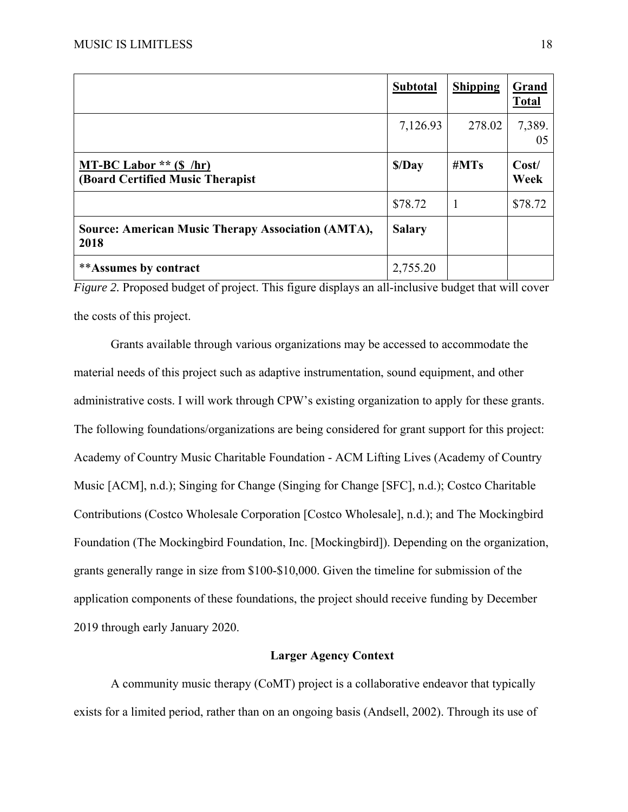|                                                                   | <b>Subtotal</b> | <b>Shipping</b> | Grand<br><b>Total</b> |
|-------------------------------------------------------------------|-----------------|-----------------|-----------------------|
|                                                                   | 7,126.93        | 278.02          | 7,389.<br>05          |
| MT-BC Labor $**$ (\$ /hr)<br>(Board Certified Music Therapist)    | \$/Day          | #MTs            | Cost/<br>Week         |
|                                                                   | \$78.72         |                 | \$78.72               |
| <b>Source: American Music Therapy Association (AMTA),</b><br>2018 | <b>Salary</b>   |                 |                       |
| <i>**</i> Assumes by contract                                     | 2,755.20        |                 |                       |

*Figure 2.* Proposed budget of project. This figure displays an all-inclusive budget that will cover the costs of this project.

Grants available through various organizations may be accessed to accommodate the material needs of this project such as adaptive instrumentation, sound equipment, and other administrative costs. I will work through CPW's existing organization to apply for these grants. The following foundations/organizations are being considered for grant support for this project: Academy of Country Music Charitable Foundation - ACM Lifting Lives (Academy of Country Music [ACM], n.d.); Singing for Change (Singing for Change [SFC], n.d.); Costco Charitable Contributions (Costco Wholesale Corporation [Costco Wholesale], n.d.); and The Mockingbird Foundation (The Mockingbird Foundation, Inc. [Mockingbird]). Depending on the organization, grants generally range in size from \$100-\$10,000. Given the timeline for submission of the application components of these foundations, the project should receive funding by December 2019 through early January 2020.

#### **Larger Agency Context**

A community music therapy (CoMT) project is a collaborative endeavor that typically exists for a limited period, rather than on an ongoing basis (Andsell, 2002). Through its use of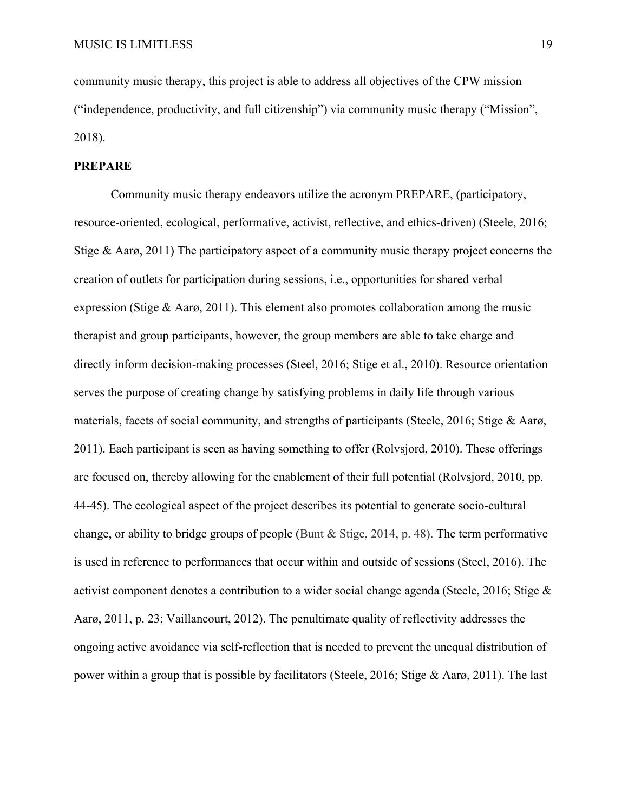community music therapy, this project is able to address all objectives of the CPW mission ("independence, productivity, and full citizenship") via community music therapy ("Mission", 2018).

#### **PREPARE**

Community music therapy endeavors utilize the acronym PREPARE, (participatory, resource-oriented, ecological, performative, activist, reflective, and ethics-driven) (Steele, 2016; Stige  $\&$  Aarø, 2011) The participatory aspect of a community music therapy project concerns the creation of outlets for participation during sessions, i.e., opportunities for shared verbal expression (Stige & Aarø, 2011). This element also promotes collaboration among the music therapist and group participants, however, the group members are able to take charge and directly inform decision-making processes (Steel, 2016; Stige et al., 2010). Resource orientation serves the purpose of creating change by satisfying problems in daily life through various materials, facets of social community, and strengths of participants (Steele, 2016; Stige & Aarø, 2011). Each participant is seen as having something to offer (Rolvsjord, 2010). These offerings are focused on, thereby allowing for the enablement of their full potential (Rolvsjord, 2010, pp. 44-45). The ecological aspect of the project describes its potential to generate socio-cultural change, or ability to bridge groups of people (Bunt & Stige, 2014, p. 48). The term performative is used in reference to performances that occur within and outside of sessions (Steel, 2016). The activist component denotes a contribution to a wider social change agenda (Steele, 2016; Stige & Aarø, 2011, p. 23; Vaillancourt, 2012). The penultimate quality of reflectivity addresses the ongoing active avoidance via self-reflection that is needed to prevent the unequal distribution of power within a group that is possible by facilitators (Steele, 2016; Stige & Aarø, 2011). The last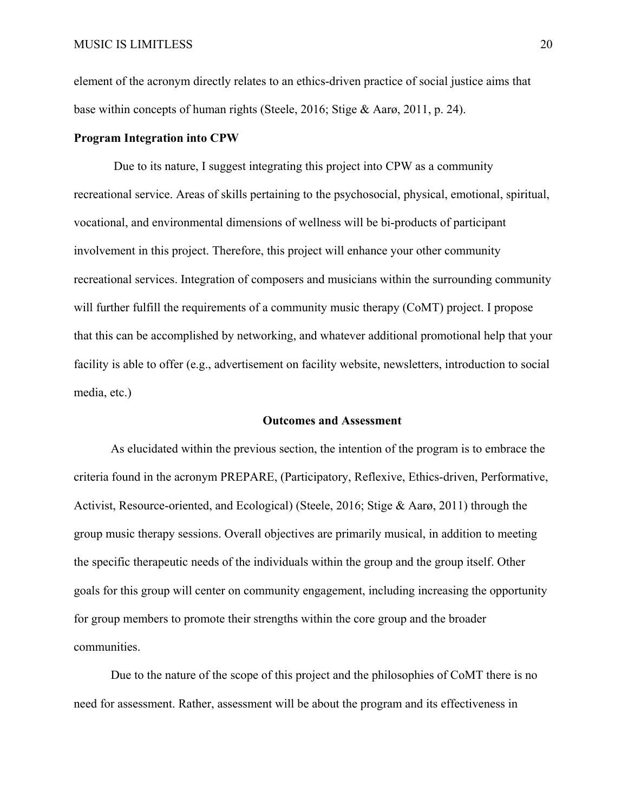element of the acronym directly relates to an ethics-driven practice of social justice aims that base within concepts of human rights (Steele, 2016; Stige & Aarø, 2011, p. 24).

#### **Program Integration into CPW**

 Due to its nature, I suggest integrating this project into CPW as a community recreational service. Areas of skills pertaining to the psychosocial, physical, emotional, spiritual, vocational, and environmental dimensions of wellness will be bi-products of participant involvement in this project. Therefore, this project will enhance your other community recreational services. Integration of composers and musicians within the surrounding community will further fulfill the requirements of a community music therapy (CoMT) project. I propose that this can be accomplished by networking, and whatever additional promotional help that your facility is able to offer (e.g., advertisement on facility website, newsletters, introduction to social media, etc.)

#### **Outcomes and Assessment**

As elucidated within the previous section, the intention of the program is to embrace the criteria found in the acronym PREPARE, (Participatory, Reflexive, Ethics-driven, Performative, Activist, Resource-oriented, and Ecological) (Steele, 2016; Stige & Aarø, 2011) through the group music therapy sessions. Overall objectives are primarily musical, in addition to meeting the specific therapeutic needs of the individuals within the group and the group itself. Other goals for this group will center on community engagement, including increasing the opportunity for group members to promote their strengths within the core group and the broader communities.

Due to the nature of the scope of this project and the philosophies of CoMT there is no need for assessment. Rather, assessment will be about the program and its effectiveness in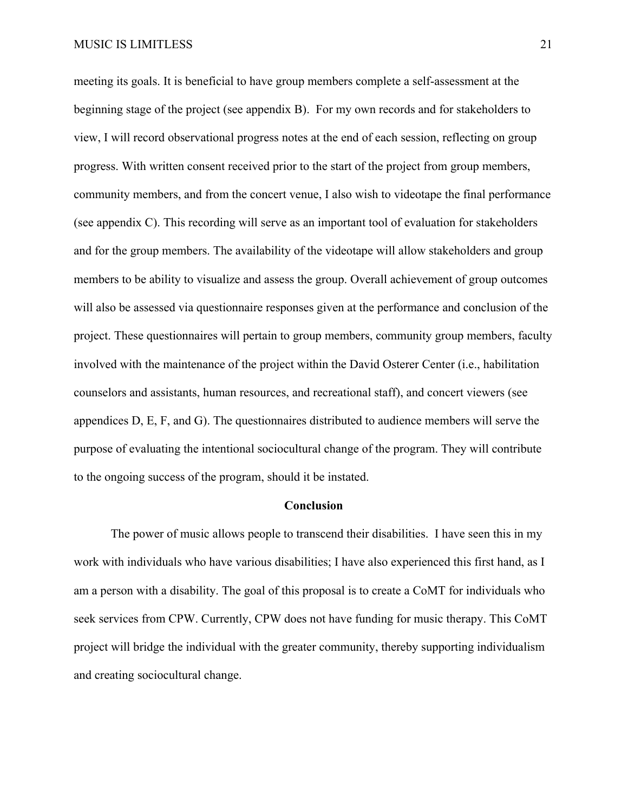meeting its goals. It is beneficial to have group members complete a self-assessment at the beginning stage of the project (see appendix B). For my own records and for stakeholders to view, I will record observational progress notes at the end of each session, reflecting on group progress. With written consent received prior to the start of the project from group members, community members, and from the concert venue, I also wish to videotape the final performance (see appendix C). This recording will serve as an important tool of evaluation for stakeholders and for the group members. The availability of the videotape will allow stakeholders and group members to be ability to visualize and assess the group. Overall achievement of group outcomes will also be assessed via questionnaire responses given at the performance and conclusion of the project. These questionnaires will pertain to group members, community group members, faculty involved with the maintenance of the project within the David Osterer Center (i.e., habilitation counselors and assistants, human resources, and recreational staff), and concert viewers (see appendices D, E, F, and G). The questionnaires distributed to audience members will serve the purpose of evaluating the intentional sociocultural change of the program. They will contribute to the ongoing success of the program, should it be instated.

#### **Conclusion**

The power of music allows people to transcend their disabilities. I have seen this in my work with individuals who have various disabilities; I have also experienced this first hand, as I am a person with a disability. The goal of this proposal is to create a CoMT for individuals who seek services from CPW. Currently, CPW does not have funding for music therapy. This CoMT project will bridge the individual with the greater community, thereby supporting individualism and creating sociocultural change.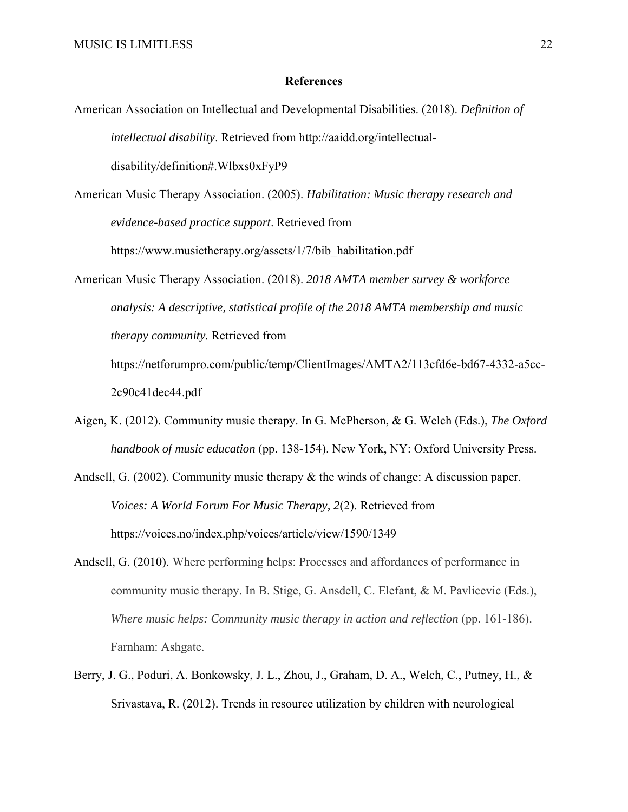#### **References**

- American Association on Intellectual and Developmental Disabilities. (2018). *Definition of intellectual disability*. Retrieved from http://aaidd.org/intellectualdisability/definition#.Wlbxs0xFyP9
- American Music Therapy Association. (2005). *Habilitation: Music therapy research and evidence-based practice support*. Retrieved from https://www.musictherapy.org/assets/1/7/bib\_habilitation.pdf
- American Music Therapy Association. (2018). *2018 AMTA member survey & workforce analysis: A descriptive, statistical profile of the 2018 AMTA membership and music therapy community.* Retrieved from

https://netforumpro.com/public/temp/ClientImages/AMTA2/113cfd6e-bd67-4332-a5cc-2c90c41dec44.pdf

- Aigen, K. (2012). Community music therapy. In G. McPherson, & G. Welch (Eds.), *The Oxford handbook of music education* (pp. 138-154). New York, NY: Oxford University Press.
- Andsell, G. (2002). Community music therapy & the winds of change: A discussion paper. *Voices: A World Forum For Music Therapy, 2*(2). Retrieved from https://voices.no/index.php/voices/article/view/1590/1349
- Andsell, G. (2010). Where performing helps: Processes and affordances of performance in community music therapy. In B. Stige, G. Ansdell, C. Elefant, & M. Pavlicevic (Eds.), *Where music helps: Community music therapy in action and reflection* (pp. 161-186). Farnham: Ashgate.
- Berry, J. G., Poduri, A. Bonkowsky, J. L., Zhou, J., Graham, D. A., Welch, C., Putney, H., & Srivastava, R. (2012). Trends in resource utilization by children with neurological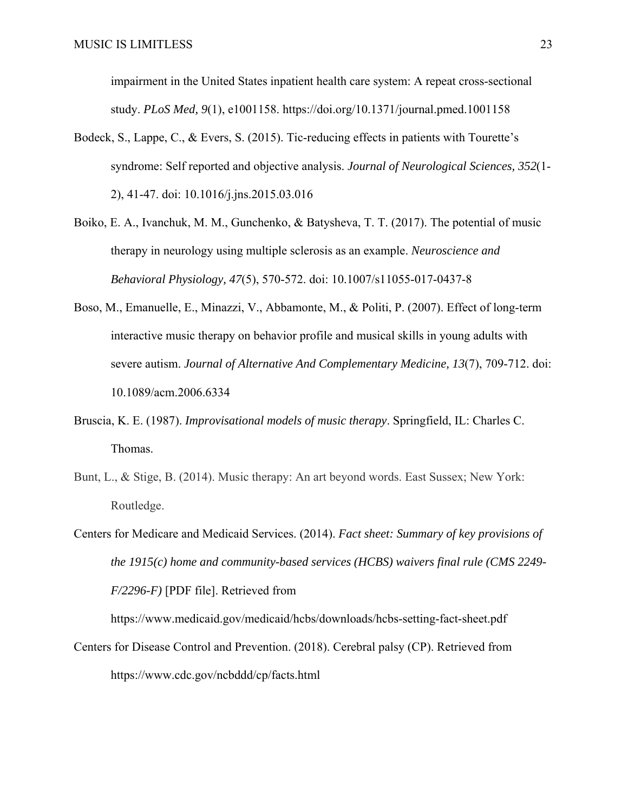impairment in the United States inpatient health care system: A repeat cross-sectional study. *PLoS Med, 9*(1), e1001158. https://doi.org/10.1371/journal.pmed.1001158

- Bodeck, S., Lappe, C., & Evers, S. (2015). Tic-reducing effects in patients with Tourette's syndrome: Self reported and objective analysis. *Journal of Neurological Sciences, 352*(1- 2), 41-47. doi: 10.1016/j.jns.2015.03.016
- Boiko, E. A., Ivanchuk, M. M., Gunchenko, & Batysheva, T. T. (2017). The potential of music therapy in neurology using multiple sclerosis as an example. *Neuroscience and Behavioral Physiology, 47*(5), 570-572. doi: 10.1007/s11055-017-0437-8
- Boso, M., Emanuelle, E., Minazzi, V., Abbamonte, M., & Politi, P. (2007). Effect of long-term interactive music therapy on behavior profile and musical skills in young adults with severe autism. *Journal of Alternative And Complementary Medicine, 13*(7), 709-712. doi: 10.1089/acm.2006.6334
- Bruscia, K. E. (1987). *Improvisational models of music therapy*. Springfield, IL: Charles C. Thomas.
- Bunt, L., & Stige, B. (2014). Music therapy: An art beyond words. East Sussex; New York: Routledge.
- Centers for Medicare and Medicaid Services. (2014). *Fact sheet: Summary of key provisions of the 1915(c) home and community-based services (HCBS) waivers final rule (CMS 2249- F/2296-F)* [PDF file]. Retrieved from

https://www.medicaid.gov/medicaid/hcbs/downloads/hcbs-setting-fact-sheet.pdf

Centers for Disease Control and Prevention. (2018). Cerebral palsy (CP). Retrieved from https://www.cdc.gov/ncbddd/cp/facts.html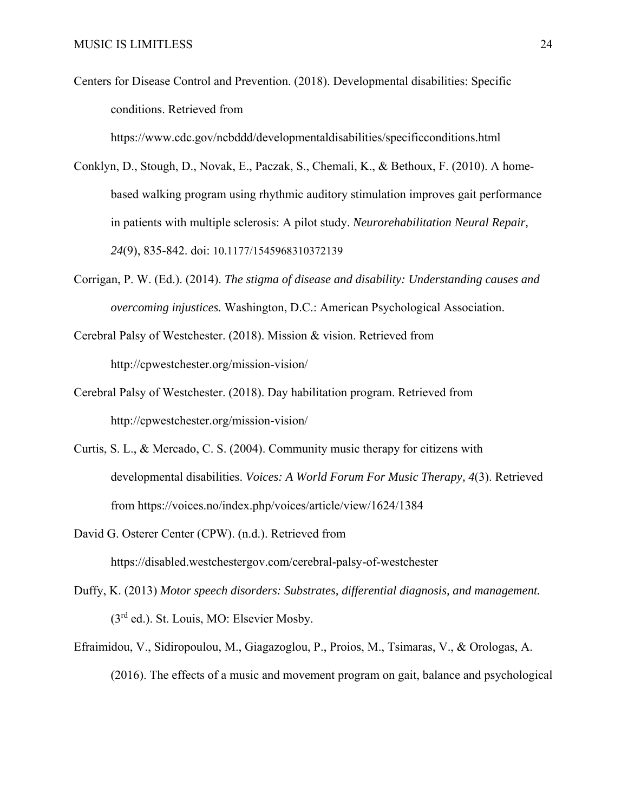Centers for Disease Control and Prevention. (2018). Developmental disabilities: Specific conditions. Retrieved from

https://www.cdc.gov/ncbddd/developmentaldisabilities/specificconditions.html

- Conklyn, D., Stough, D., Novak, E., Paczak, S., Chemali, K., & Bethoux, F. (2010). A homebased walking program using rhythmic auditory stimulation improves gait performance in patients with multiple sclerosis: A pilot study. *Neurorehabilitation Neural Repair, 24*(9), 835-842. doi: 10.1177/1545968310372139
- Corrigan, P. W. (Ed.). (2014). *The stigma of disease and disability: Understanding causes and overcoming injustices.* Washington, D.C.: American Psychological Association.
- Cerebral Palsy of Westchester. (2018). Mission & vision. Retrieved from http://cpwestchester.org/mission-vision/
- Cerebral Palsy of Westchester. (2018). Day habilitation program. Retrieved from http://cpwestchester.org/mission-vision/
- Curtis, S. L., & Mercado, C. S. (2004). Community music therapy for citizens with developmental disabilities. *Voices: A World Forum For Music Therapy, 4*(3). Retrieved from https://voices.no/index.php/voices/article/view/1624/1384
- David G. Osterer Center (CPW). (n.d.). Retrieved from https://disabled.westchestergov.com/cerebral-palsy-of-westchester
- Duffy, K. (2013) *Motor speech disorders: Substrates, differential diagnosis, and management.* (3rd ed.). St. Louis, MO: Elsevier Mosby.
- Efraimidou, V., Sidiropoulou, M., Giagazoglou, P., Proios, M., Tsimaras, V., & Orologas, A. (2016). The effects of a music and movement program on gait, balance and psychological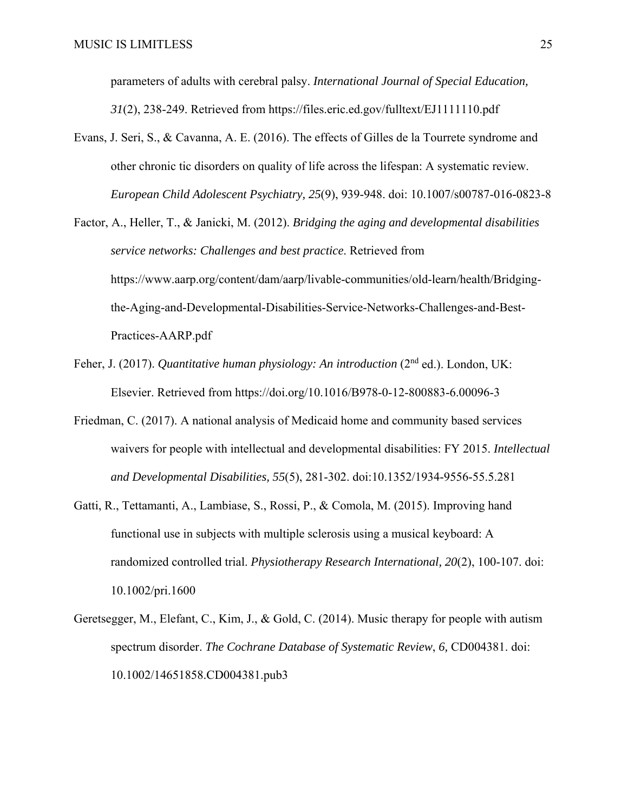parameters of adults with cerebral palsy. *International Journal of Special Education, 31*(2), 238-249. Retrieved from https://files.eric.ed.gov/fulltext/EJ1111110.pdf

- Evans, J. Seri, S., & Cavanna, A. E. (2016). The effects of Gilles de la Tourrete syndrome and other chronic tic disorders on quality of life across the lifespan: A systematic review. *European Child Adolescent Psychiatry, 25*(9), 939-948. doi: 10.1007/s00787-016-0823-8
- Factor, A., Heller, T., & Janicki, M. (2012). *Bridging the aging and developmental disabilities service networks: Challenges and best practice*. Retrieved from https://www.aarp.org/content/dam/aarp/livable-communities/old-learn/health/Bridgingthe-Aging-and-Developmental-Disabilities-Service-Networks-Challenges-and-Best-Practices-AARP.pdf
- Feher, J. (2017). *Quantitative human physiology: An introduction* (2nd ed.). London, UK: Elsevier. Retrieved from https://doi.org/10.1016/B978-0-12-800883-6.00096-3
- Friedman, C. (2017). A national analysis of Medicaid home and community based services waivers for people with intellectual and developmental disabilities: FY 2015. *Intellectual and Developmental Disabilities, 55*(5), 281-302. doi:10.1352/1934-9556-55.5.281
- Gatti, R., Tettamanti, A., Lambiase, S., Rossi, P., & Comola, M. (2015). Improving hand functional use in subjects with multiple sclerosis using a musical keyboard: A randomized controlled trial. *Physiotherapy Research International, 20*(2), 100-107. doi: 10.1002/pri.1600
- Geretsegger, M., Elefant, C., Kim, J., & Gold, C. (2014). Music therapy for people with autism spectrum disorder. *The Cochrane Database of Systematic Review*, *6,* CD004381. doi: 10.1002/14651858.CD004381.pub3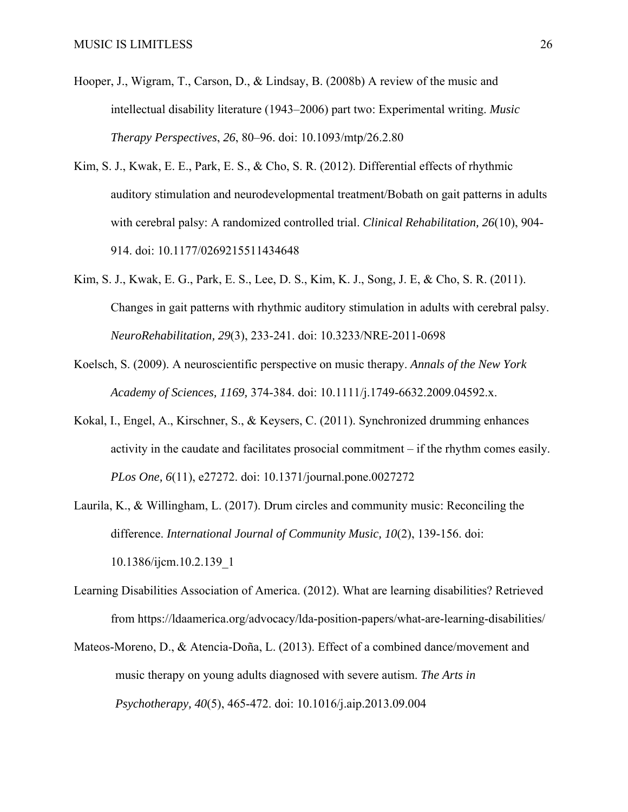- Hooper, J., Wigram, T., Carson, D., & Lindsay, B. (2008b) A review of the music and intellectual disability literature (1943–2006) part two: Experimental writing. *Music Therapy Perspectives*, *26*, 80–96. doi: 10.1093/mtp/26.2.80
- Kim, S. J., Kwak, E. E., Park, E. S., & Cho, S. R. (2012). Differential effects of rhythmic auditory stimulation and neurodevelopmental treatment/Bobath on gait patterns in adults with cerebral palsy: A randomized controlled trial. *Clinical Rehabilitation, 26*(10), 904- 914. doi: 10.1177/0269215511434648
- Kim, S. J., Kwak, E. G., Park, E. S., Lee, D. S., Kim, K. J., Song, J. E, & Cho, S. R. (2011). Changes in gait patterns with rhythmic auditory stimulation in adults with cerebral palsy. *NeuroRehabilitation, 29*(3), 233-241. doi: 10.3233/NRE-2011-0698
- Koelsch, S. (2009). A neuroscientific perspective on music therapy. *Annals of the New York Academy of Sciences, 1169,* 374-384. doi: 10.1111/j.1749-6632.2009.04592.x.
- Kokal, I., Engel, A., Kirschner, S., & Keysers, C. (2011). Synchronized drumming enhances activity in the caudate and facilitates prosocial commitment – if the rhythm comes easily. *PLos One, 6*(11), e27272. doi: 10.1371/journal.pone.0027272
- Laurila, K., & Willingham, L. (2017). Drum circles and community music: Reconciling the difference. *International Journal of Community Music, 10*(2), 139-156. doi: 10.1386/ijcm.10.2.139\_1
- Learning Disabilities Association of America. (2012). What are learning disabilities? Retrieved from https://ldaamerica.org/advocacy/lda-position-papers/what-are-learning-disabilities/
- Mateos-Moreno, D., & Atencia-Doña, L. (2013). Effect of a combined dance/movement and music therapy on young adults diagnosed with severe autism. *The Arts in Psychotherapy, 40*(5), 465-472. doi: 10.1016/j.aip.2013.09.004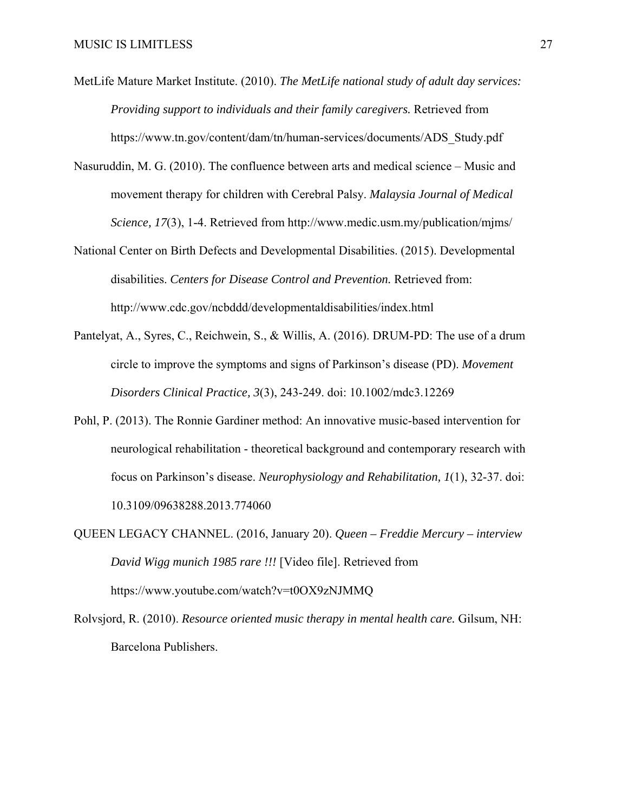- MetLife Mature Market Institute. (2010). *The MetLife national study of adult day services: Providing support to individuals and their family caregivers.* Retrieved from https://www.tn.gov/content/dam/tn/human-services/documents/ADS\_Study.pdf
- Nasuruddin, M. G. (2010). The confluence between arts and medical science Music and movement therapy for children with Cerebral Palsy. *Malaysia Journal of Medical Science, 17*(3), 1-4. Retrieved from http://www.medic.usm.my/publication/mjms/
- National Center on Birth Defects and Developmental Disabilities. (2015). Developmental disabilities. *Centers for Disease Control and Prevention.* Retrieved from: http://www.cdc.gov/ncbddd/developmentaldisabilities/index.html
- Pantelyat, A., Syres, C., Reichwein, S., & Willis, A. (2016). DRUM-PD: The use of a drum circle to improve the symptoms and signs of Parkinson's disease (PD). *Movement Disorders Clinical Practice, 3*(3), 243-249. doi: 10.1002/mdc3.12269
- Pohl, P. (2013). The Ronnie Gardiner method: An innovative music-based intervention for neurological rehabilitation - theoretical background and contemporary research with focus on Parkinson's disease. *Neurophysiology and Rehabilitation, 1*(1), 32-37. doi: 10.3109/09638288.2013.774060
- QUEEN LEGACY CHANNEL. (2016, January 20). *Queen Freddie Mercury interview David Wigg munich 1985 rare !!!* [Video file]. Retrieved from https://www.youtube.com/watch?v=t0OX9zNJMMQ
- Rolvsjord, R. (2010). *Resource oriented music therapy in mental health care.* Gilsum, NH: Barcelona Publishers.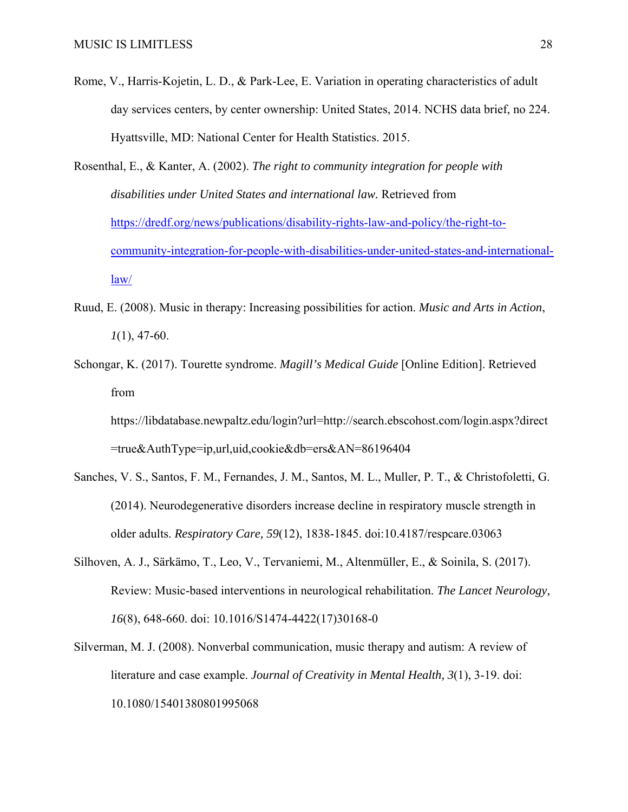- Rome, V., Harris-Kojetin, L. D., & Park-Lee, E. Variation in operating characteristics of adult day services centers, by center ownership: United States, 2014. NCHS data brief, no 224. Hyattsville, MD: National Center for Health Statistics. 2015.
- Rosenthal, E., & Kanter, A. (2002). *The right to community integration for people with disabilities under United States and international law.* Retrieved from https://dredf.org/news/publications/disability-rights-law-and-policy/the-right-tocommunity-integration-for-people-with-disabilities-under-united-states-and-internationallaw/
- Ruud, E. (2008). Music in therapy: Increasing possibilities for action. *Music and Arts in Action*, *1*(1), 47-60.
- Schongar, K. (2017). Tourette syndrome. *Magill's Medical Guide* [Online Edition]. Retrieved from

https://libdatabase.newpaltz.edu/login?url=http://search.ebscohost.com/login.aspx?direct =true&AuthType=ip,url,uid,cookie&db=ers&AN=86196404

- Sanches, V. S., Santos, F. M., Fernandes, J. M., Santos, M. L., Muller, P. T., & Christofoletti, G. (2014). Neurodegenerative disorders increase decline in respiratory muscle strength in older adults. *Respiratory Care, 59*(12), 1838-1845. doi:10.4187/respcare.03063
- Silhoven, A. J., Särkämo, T., Leo, V., Tervaniemi, M., Altenmüller, E., & Soinila, S. (2017). Review: Music-based interventions in neurological rehabilitation. *The Lancet Neurology, 16*(8), 648-660. doi: 10.1016/S1474-4422(17)30168-0
- Silverman, M. J. (2008). Nonverbal communication, music therapy and autism: A review of literature and case example. *Journal of Creativity in Mental Health, 3*(1), 3-19. doi: 10.1080/15401380801995068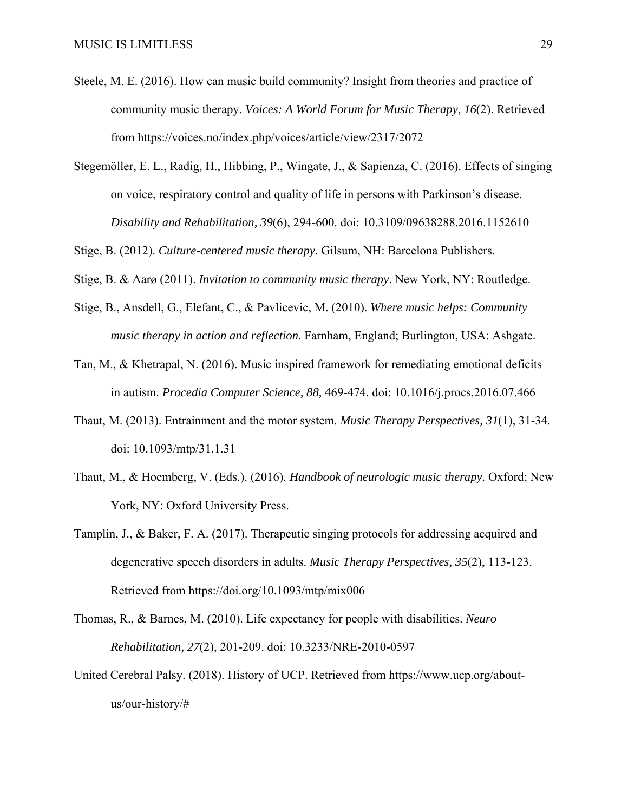- Steele, M. E. (2016). How can music build community? Insight from theories and practice of community music therapy. *Voices: A World Forum for Music Therapy*, *16*(2). Retrieved from https://voices.no/index.php/voices/article/view/2317/2072
- Stegemöller, E. L., Radig, H., Hibbing, P., Wingate, J., & Sapienza, C. (2016). Effects of singing on voice, respiratory control and quality of life in persons with Parkinson's disease. *Disability and Rehabilitation, 39*(6), 294-600. doi: 10.3109/09638288.2016.1152610

Stige, B. (2012). *Culture-centered music therapy.* Gilsum, NH: Barcelona Publishers.

Stige, B. & Aarø (2011). *Invitation to community music therapy*. New York, NY: Routledge.

- Stige, B., Ansdell, G., Elefant, C., & Pavlicevic, M. (2010). *Where music helps: Community music therapy in action and reflection*. Farnham, England; Burlington, USA: Ashgate.
- Tan, M., & Khetrapal, N. (2016). Music inspired framework for remediating emotional deficits in autism. *Procedia Computer Science, 88,* 469-474. doi: 10.1016/j.procs.2016.07.466
- Thaut, M. (2013). Entrainment and the motor system. *Music Therapy Perspectives, 31*(1), 31-34. doi: 10.1093/mtp/31.1.31
- Thaut, M., & Hoemberg, V. (Eds.). (2016). *Handbook of neurologic music therapy.* Oxford; New York, NY: Oxford University Press.
- Tamplin, J., & Baker, F. A. (2017). Therapeutic singing protocols for addressing acquired and degenerative speech disorders in adults. *Music Therapy Perspectives, 35*(2), 113-123. Retrieved from https://doi.org/10.1093/mtp/mix006
- Thomas, R., & Barnes, M. (2010). Life expectancy for people with disabilities. *Neuro Rehabilitation, 27*(2)*,* 201-209. doi: 10.3233/NRE-2010-0597
- United Cerebral Palsy. (2018). History of UCP. Retrieved from https://www.ucp.org/aboutus/our-history/#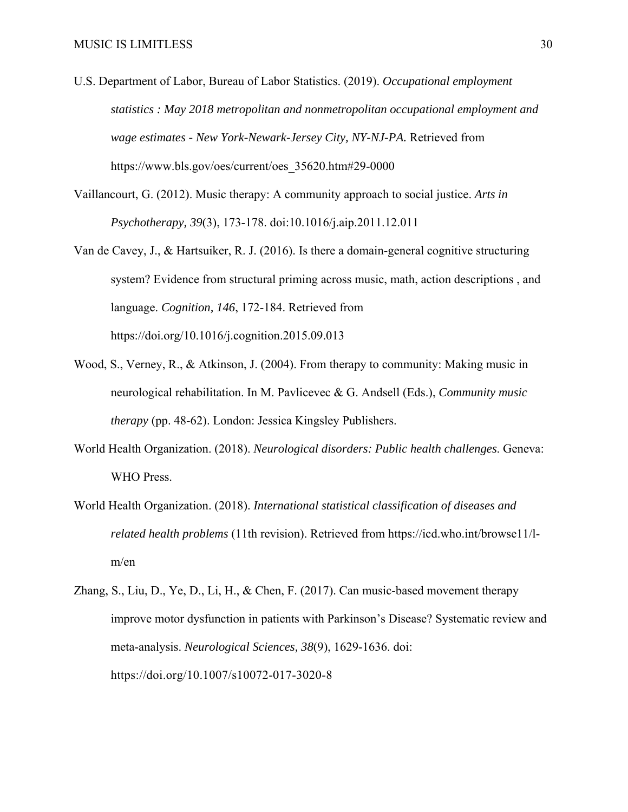- U.S. Department of Labor, Bureau of Labor Statistics. (2019). *Occupational employment statistics : May 2018 metropolitan and nonmetropolitan occupational employment and wage estimates - New York-Newark-Jersey City, NY-NJ-PA.* Retrieved from https://www.bls.gov/oes/current/oes\_35620.htm#29-0000
- Vaillancourt, G. (2012). Music therapy: A community approach to social justice. *Arts in Psychotherapy, 39*(3), 173-178. doi:10.1016/j.aip.2011.12.011
- Van de Cavey, J., & Hartsuiker, R. J. (2016). Is there a domain-general cognitive structuring system? Evidence from structural priming across music, math, action descriptions , and language. *Cognition, 146*, 172-184. Retrieved from https://doi.org/10.1016/j.cognition.2015.09.013
- Wood, S., Verney, R., & Atkinson, J. (2004). From therapy to community: Making music in neurological rehabilitation. In M. Pavlicevec & G. Andsell (Eds.), *Community music therapy* (pp. 48-62). London: Jessica Kingsley Publishers.
- World Health Organization. (2018). *Neurological disorders: Public health challenges*. Geneva: WHO Press.
- World Health Organization. (2018). *International statistical classification of diseases and related health problems* (11th revision). Retrieved from https://icd.who.int/browse11/lm/en
- Zhang, S., Liu, D., Ye, D., Li, H., & Chen, F. (2017). Can music-based movement therapy improve motor dysfunction in patients with Parkinson's Disease? Systematic review and meta-analysis. *Neurological Sciences, 38*(9), 1629-1636. doi: https://doi.org/10.1007/s10072-017-3020-8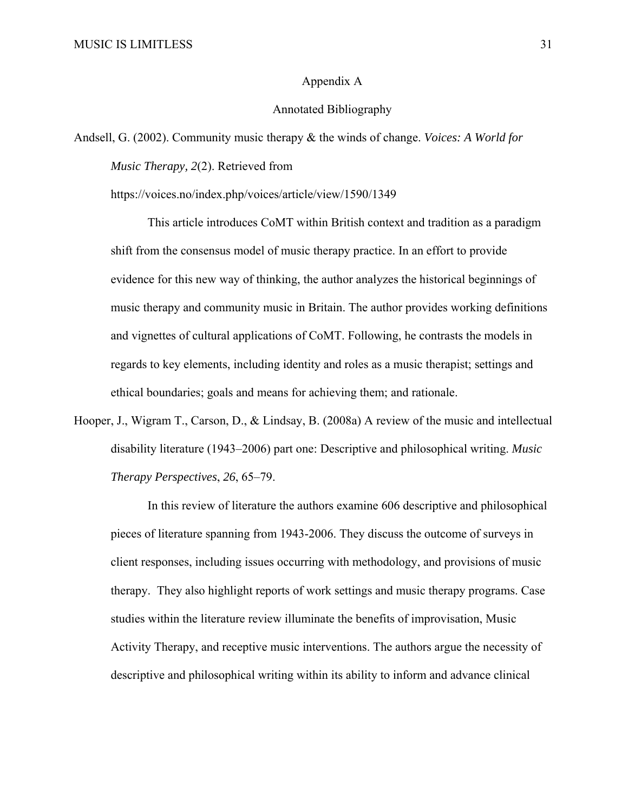#### Appendix A

#### Annotated Bibliography

Andsell, G. (2002). Community music therapy & the winds of change. *Voices: A World for Music Therapy, 2*(2). Retrieved from

https://voices.no/index.php/voices/article/view/1590/1349

This article introduces CoMT within British context and tradition as a paradigm shift from the consensus model of music therapy practice. In an effort to provide evidence for this new way of thinking, the author analyzes the historical beginnings of music therapy and community music in Britain. The author provides working definitions and vignettes of cultural applications of CoMT. Following, he contrasts the models in regards to key elements, including identity and roles as a music therapist; settings and ethical boundaries; goals and means for achieving them; and rationale.

Hooper, J., Wigram T., Carson, D., & Lindsay, B. (2008a) A review of the music and intellectual disability literature (1943–2006) part one: Descriptive and philosophical writing. *Music Therapy Perspectives*, *26*, 65–79.

 In this review of literature the authors examine 606 descriptive and philosophical pieces of literature spanning from 1943-2006. They discuss the outcome of surveys in client responses, including issues occurring with methodology, and provisions of music therapy. They also highlight reports of work settings and music therapy programs. Case studies within the literature review illuminate the benefits of improvisation, Music Activity Therapy, and receptive music interventions. The authors argue the necessity of descriptive and philosophical writing within its ability to inform and advance clinical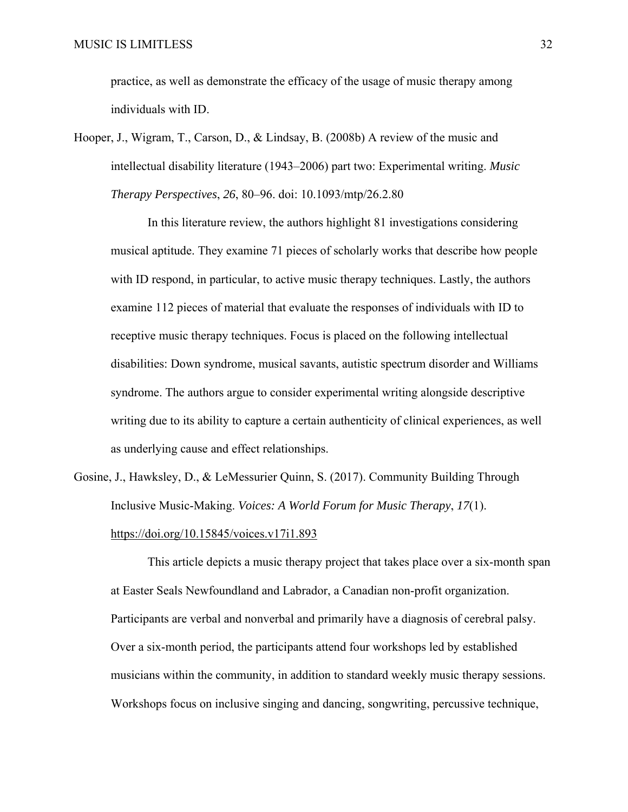practice, as well as demonstrate the efficacy of the usage of music therapy among individuals with ID.

Hooper, J., Wigram, T., Carson, D., & Lindsay, B. (2008b) A review of the music and intellectual disability literature (1943–2006) part two: Experimental writing. *Music Therapy Perspectives*, *26*, 80–96. doi: 10.1093/mtp/26.2.80

 In this literature review, the authors highlight 81 investigations considering musical aptitude. They examine 71 pieces of scholarly works that describe how people with ID respond, in particular, to active music therapy techniques. Lastly, the authors examine 112 pieces of material that evaluate the responses of individuals with ID to receptive music therapy techniques. Focus is placed on the following intellectual disabilities: Down syndrome, musical savants, autistic spectrum disorder and Williams syndrome. The authors argue to consider experimental writing alongside descriptive writing due to its ability to capture a certain authenticity of clinical experiences, as well as underlying cause and effect relationships.

Gosine, J., Hawksley, D., & LeMessurier Quinn, S. (2017). Community Building Through Inclusive Music-Making. *Voices: A World Forum for Music Therapy*, *17*(1). https://doi.org/10.15845/voices.v17i1.893

 This article depicts a music therapy project that takes place over a six-month span at Easter Seals Newfoundland and Labrador, a Canadian non-profit organization. Participants are verbal and nonverbal and primarily have a diagnosis of cerebral palsy. Over a six-month period, the participants attend four workshops led by established musicians within the community, in addition to standard weekly music therapy sessions. Workshops focus on inclusive singing and dancing, songwriting, percussive technique,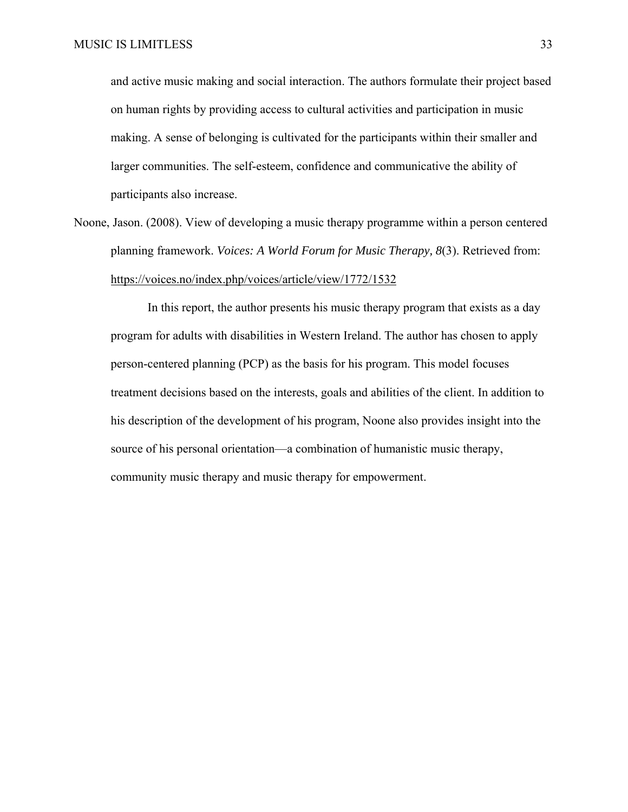and active music making and social interaction. The authors formulate their project based on human rights by providing access to cultural activities and participation in music making. A sense of belonging is cultivated for the participants within their smaller and larger communities. The self-esteem, confidence and communicative the ability of participants also increase.

Noone, Jason. (2008). View of developing a music therapy programme within a person centered planning framework. *Voices: A World Forum for Music Therapy, 8*(3). Retrieved from: https://voices.no/index.php/voices/article/view/1772/1532

 In this report, the author presents his music therapy program that exists as a day program for adults with disabilities in Western Ireland. The author has chosen to apply person-centered planning (PCP) as the basis for his program. This model focuses treatment decisions based on the interests, goals and abilities of the client. In addition to his description of the development of his program, Noone also provides insight into the source of his personal orientation—a combination of humanistic music therapy, community music therapy and music therapy for empowerment.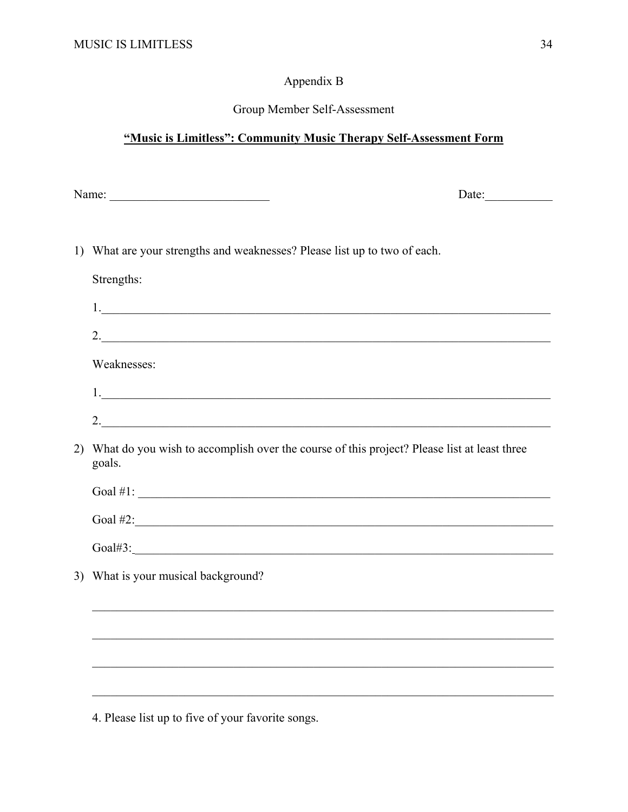## Appendix B

## Group Member Self-Assessment

## "Music is Limitless": Community Music Therapy Self-Assessment Form

| N.<br>$m$ $\alpha$ .<br>ັ.<br>. |  |  |
|---------------------------------|--|--|
|                                 |  |  |

Date:

1) What are your strengths and weaknesses? Please list up to two of each.

Strengths:

| 2.                                                                                                      |
|---------------------------------------------------------------------------------------------------------|
| Weaknesses:                                                                                             |
|                                                                                                         |
|                                                                                                         |
| 2) What do you wish to accomplish over the course of this project? Please list at least three<br>goals. |
| Goal $\#1$ : $\qquad \qquad$                                                                            |
| Goal $\#2$ :                                                                                            |
|                                                                                                         |
| 3) What is your musical background?                                                                     |
|                                                                                                         |
|                                                                                                         |
|                                                                                                         |

4. Please list up to five of your favorite songs.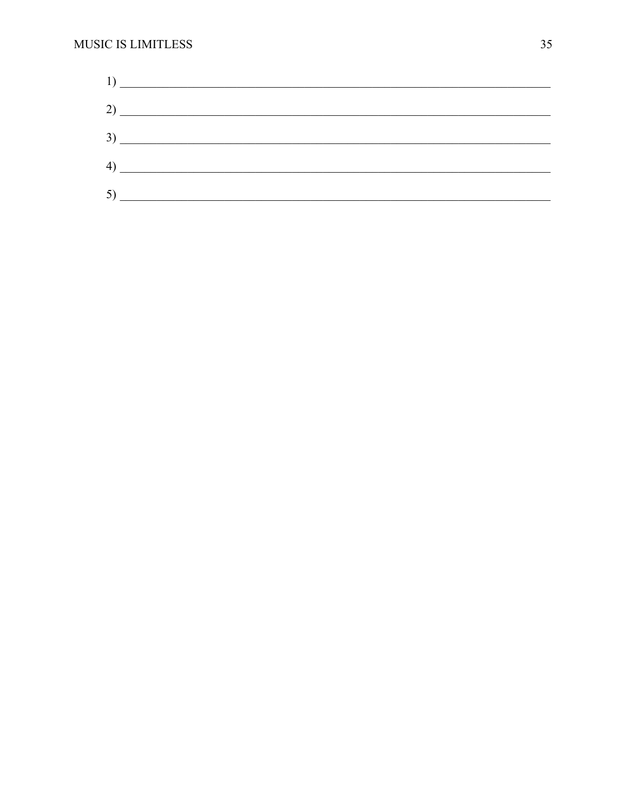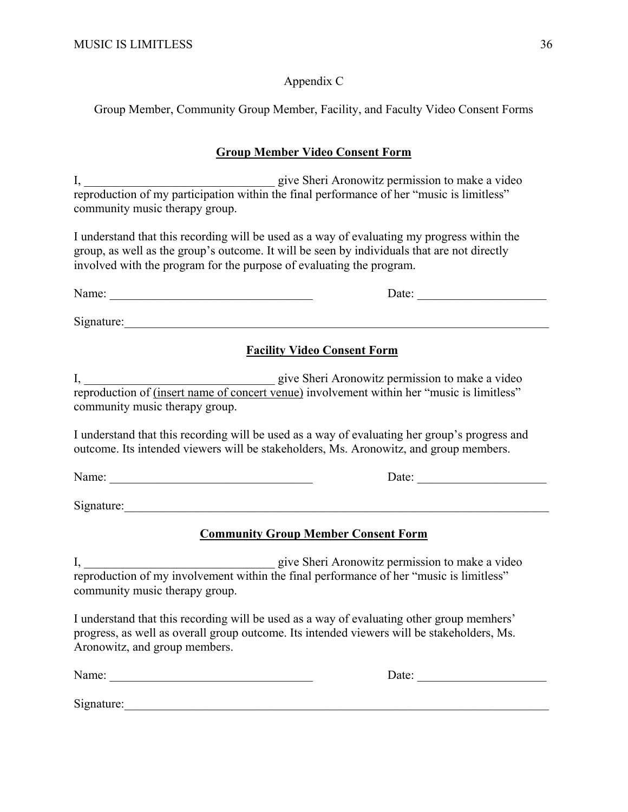Appendix C

Group Member, Community Group Member, Facility, and Faculty Video Consent Forms

## **Group Member Video Consent Form**

I, give Sheri Aronowitz permission to make a video reproduction of my participation within the final performance of her "music is limitless" community music therapy group.

I understand that this recording will be used as a way of evaluating my progress within the group, as well as the group's outcome. It will be seen by individuals that are not directly involved with the program for the purpose of evaluating the program.

| Name:      | Date: |
|------------|-------|
| Signature: |       |

## **Facility Video Consent Form**

I, \_\_\_\_\_\_\_\_\_\_\_\_\_\_\_\_\_\_\_\_\_\_\_\_\_\_\_\_\_\_\_ give Sheri Aronowitz permission to make a video reproduction of (insert name of concert venue) involvement within her "music is limitless" community music therapy group.

I understand that this recording will be used as a way of evaluating her group's progress and outcome. Its intended viewers will be stakeholders, Ms. Aronowitz, and group members.

Name: \_\_\_\_\_\_\_\_\_\_\_\_\_\_\_\_\_\_\_\_\_\_\_\_\_\_\_\_\_\_\_\_\_ Date: \_\_\_\_\_\_\_\_\_\_\_\_\_\_\_\_\_\_\_\_\_

Signature:

## **Community Group Member Consent Form**

I, \_\_\_\_\_\_\_\_\_\_\_\_\_\_\_\_\_\_\_\_\_\_\_\_\_\_\_\_\_\_\_ give Sheri Aronowitz permission to make a video reproduction of my involvement within the final performance of her "music is limitless" community music therapy group.

I understand that this recording will be used as a way of evaluating other group memhers' progress, as well as overall group outcome. Its intended viewers will be stakeholders, Ms. Aronowitz, and group members.

Name: \_\_\_\_\_\_\_\_\_\_\_\_\_\_\_\_\_\_\_\_\_\_\_\_\_\_\_\_\_\_\_\_\_ Date: \_\_\_\_\_\_\_\_\_\_\_\_\_\_\_\_\_\_\_\_\_

Signature: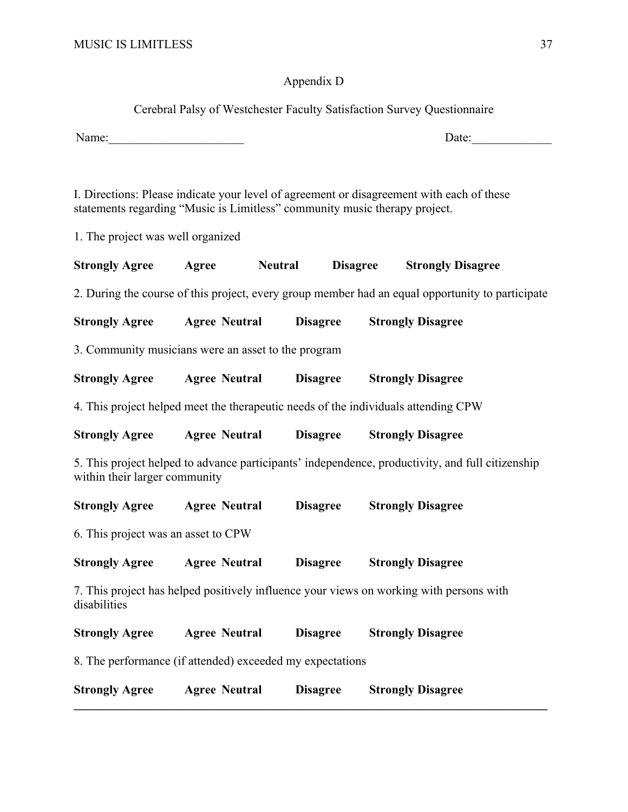## Appendix D

Cerebral Palsy of Westchester Faculty Satisfaction Survey Questionnaire

Name:\_\_\_\_\_\_\_\_\_\_\_\_\_\_\_\_\_\_\_\_\_\_ Date:\_\_\_\_\_\_\_\_\_\_\_\_\_

I. Directions: Please indicate your level of agreement or disagreement with each of these statements regarding "Music is Limitless" community music therapy project.

1. The project was well organized

| <b>Strongly Agree</b>                                                                            | Agree                                                                                                                             | <b>Neutral</b>       | <b>Disagree</b> | <b>Strongly Disagree</b>                                                                |  |  |
|--------------------------------------------------------------------------------------------------|-----------------------------------------------------------------------------------------------------------------------------------|----------------------|-----------------|-----------------------------------------------------------------------------------------|--|--|
| 2. During the course of this project, every group member had an equal opportunity to participate |                                                                                                                                   |                      |                 |                                                                                         |  |  |
| <b>Strongly Agree</b>                                                                            |                                                                                                                                   | <b>Agree Neutral</b> | <b>Disagree</b> | <b>Strongly Disagree</b>                                                                |  |  |
| 3. Community musicians were an asset to the program                                              |                                                                                                                                   |                      |                 |                                                                                         |  |  |
| <b>Strongly Agree</b>                                                                            |                                                                                                                                   | <b>Agree Neutral</b> | <b>Disagree</b> | <b>Strongly Disagree</b>                                                                |  |  |
|                                                                                                  |                                                                                                                                   |                      |                 | 4. This project helped meet the therapeutic needs of the individuals attending CPW      |  |  |
| <b>Strongly Agree</b>                                                                            |                                                                                                                                   | <b>Agree Neutral</b> | <b>Disagree</b> | <b>Strongly Disagree</b>                                                                |  |  |
|                                                                                                  | 5. This project helped to advance participants' independence, productivity, and full citizenship<br>within their larger community |                      |                 |                                                                                         |  |  |
| <b>Strongly Agree</b>                                                                            |                                                                                                                                   | <b>Agree Neutral</b> | <b>Disagree</b> | <b>Strongly Disagree</b>                                                                |  |  |
| 6. This project was an asset to CPW                                                              |                                                                                                                                   |                      |                 |                                                                                         |  |  |
| <b>Strongly Agree</b>                                                                            |                                                                                                                                   | <b>Agree Neutral</b> | <b>Disagree</b> | <b>Strongly Disagree</b>                                                                |  |  |
| disabilities                                                                                     |                                                                                                                                   |                      |                 | 7. This project has helped positively influence your views on working with persons with |  |  |
| <b>Strongly Agree</b>                                                                            |                                                                                                                                   | <b>Agree Neutral</b> | <b>Disagree</b> | <b>Strongly Disagree</b>                                                                |  |  |
| 8. The performance (if attended) exceeded my expectations                                        |                                                                                                                                   |                      |                 |                                                                                         |  |  |
| <b>Strongly Agree</b>                                                                            |                                                                                                                                   | <b>Agree Neutral</b> | <b>Disagree</b> | <b>Strongly Disagree</b>                                                                |  |  |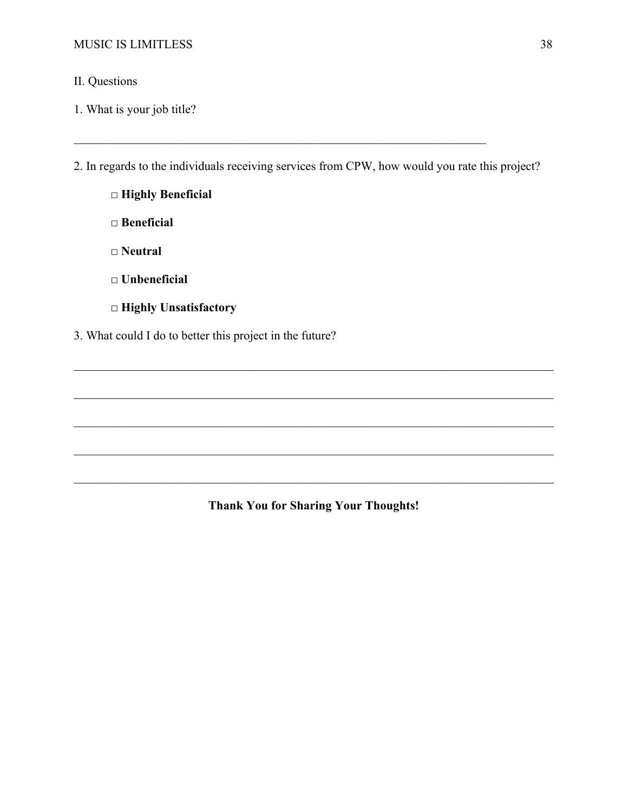## II. Questions

1. What is your job title?

2. In regards to the individuals receiving services from CPW, how would you rate this project?

 **□ Highly Beneficial** 

 **□ Beneficial** 

- **□ Neutral**
- **□ Unbeneficial**
- **□ Highly Unsatisfactory**
- 3. What could I do to better this project in the future?

**Thank You for Sharing Your Thoughts!** 

\_\_\_\_\_\_\_\_\_\_\_\_\_\_\_\_\_\_\_\_\_\_\_\_\_\_\_\_\_\_\_\_\_\_\_\_\_\_\_\_\_\_\_\_\_\_\_\_\_\_\_\_\_\_\_\_\_\_\_\_\_\_\_\_\_\_\_\_\_\_\_\_\_\_\_\_\_\_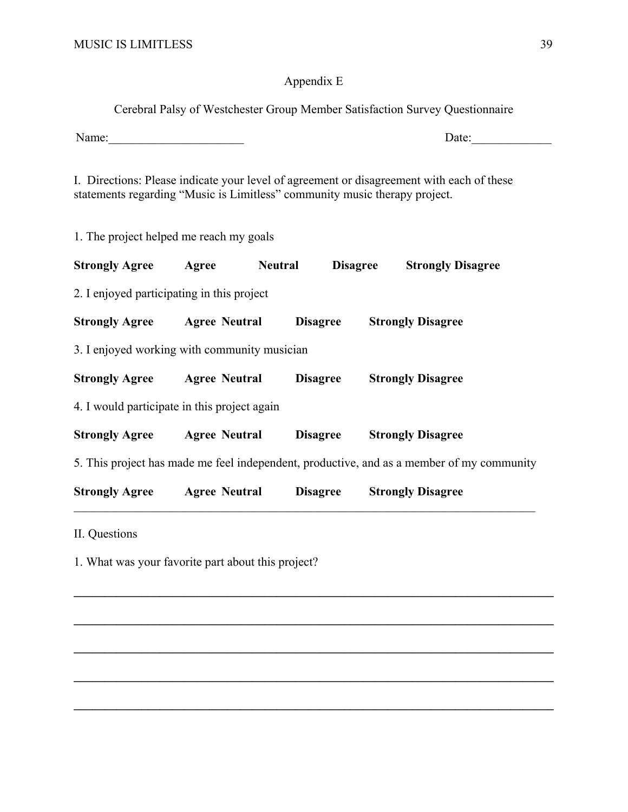## Appendix E

Cerebral Palsy of Westchester Group Member Satisfaction Survey Questionnaire Name:\_\_\_\_\_\_\_\_\_\_\_\_\_\_\_\_\_\_\_\_\_\_ Date:\_\_\_\_\_\_\_\_\_\_\_\_\_

I. Directions: Please indicate your level of agreement or disagreement with each of these statements regarding "Music is Limitless" community music therapy project.

1. The project helped me reach my goals

| <b>Strongly Agree</b>                        | Agree                | <b>Neutral</b> | <b>Disagree</b> | <b>Strongly Disagree</b>                                                                  |
|----------------------------------------------|----------------------|----------------|-----------------|-------------------------------------------------------------------------------------------|
| 2. I enjoyed participating in this project   |                      |                |                 |                                                                                           |
| <b>Strongly Agree Agree Neutral</b>          |                      |                | <b>Disagree</b> | <b>Strongly Disagree</b>                                                                  |
| 3. I enjoyed working with community musician |                      |                |                 |                                                                                           |
| <b>Strongly Agree Agree Neutral</b>          |                      |                | <b>Disagree</b> | <b>Strongly Disagree</b>                                                                  |
| 4. I would participate in this project again |                      |                |                 |                                                                                           |
| <b>Strongly Agree</b> Agree Neutral          |                      |                | <b>Disagree</b> | <b>Strongly Disagree</b>                                                                  |
|                                              |                      |                |                 | 5. This project has made me feel independent, productive, and as a member of my community |
| <b>Strongly Agree</b>                        | <b>Agree Neutral</b> |                | <b>Disagree</b> | <b>Strongly Disagree</b>                                                                  |
| $\mathbf{H} \cap \mathbf{C}$                 |                      |                |                 |                                                                                           |

 $\mathcal{L}_\mathcal{L} = \{ \mathcal{L}_\mathcal{L} = \{ \mathcal{L}_\mathcal{L} = \{ \mathcal{L}_\mathcal{L} = \{ \mathcal{L}_\mathcal{L} = \{ \mathcal{L}_\mathcal{L} = \{ \mathcal{L}_\mathcal{L} = \{ \mathcal{L}_\mathcal{L} = \{ \mathcal{L}_\mathcal{L} = \{ \mathcal{L}_\mathcal{L} = \{ \mathcal{L}_\mathcal{L} = \{ \mathcal{L}_\mathcal{L} = \{ \mathcal{L}_\mathcal{L} = \{ \mathcal{L}_\mathcal{L} = \{ \mathcal{L}_\mathcal{$ 

 $\mathcal{L}_\mathcal{L} = \{ \mathcal{L}_\mathcal{L} = \{ \mathcal{L}_\mathcal{L} = \{ \mathcal{L}_\mathcal{L} = \{ \mathcal{L}_\mathcal{L} = \{ \mathcal{L}_\mathcal{L} = \{ \mathcal{L}_\mathcal{L} = \{ \mathcal{L}_\mathcal{L} = \{ \mathcal{L}_\mathcal{L} = \{ \mathcal{L}_\mathcal{L} = \{ \mathcal{L}_\mathcal{L} = \{ \mathcal{L}_\mathcal{L} = \{ \mathcal{L}_\mathcal{L} = \{ \mathcal{L}_\mathcal{L} = \{ \mathcal{L}_\mathcal{$ 

 $\mathcal{L}_\mathcal{L} = \{ \mathcal{L}_\mathcal{L} = \{ \mathcal{L}_\mathcal{L} = \{ \mathcal{L}_\mathcal{L} = \{ \mathcal{L}_\mathcal{L} = \{ \mathcal{L}_\mathcal{L} = \{ \mathcal{L}_\mathcal{L} = \{ \mathcal{L}_\mathcal{L} = \{ \mathcal{L}_\mathcal{L} = \{ \mathcal{L}_\mathcal{L} = \{ \mathcal{L}_\mathcal{L} = \{ \mathcal{L}_\mathcal{L} = \{ \mathcal{L}_\mathcal{L} = \{ \mathcal{L}_\mathcal{L} = \{ \mathcal{L}_\mathcal{$ 

 $\mathcal{L}_\mathcal{L} = \{ \mathcal{L}_\mathcal{L} = \{ \mathcal{L}_\mathcal{L} = \{ \mathcal{L}_\mathcal{L} = \{ \mathcal{L}_\mathcal{L} = \{ \mathcal{L}_\mathcal{L} = \{ \mathcal{L}_\mathcal{L} = \{ \mathcal{L}_\mathcal{L} = \{ \mathcal{L}_\mathcal{L} = \{ \mathcal{L}_\mathcal{L} = \{ \mathcal{L}_\mathcal{L} = \{ \mathcal{L}_\mathcal{L} = \{ \mathcal{L}_\mathcal{L} = \{ \mathcal{L}_\mathcal{L} = \{ \mathcal{L}_\mathcal{$ 

**\_\_\_\_\_\_\_\_\_\_\_\_\_\_\_\_\_\_\_\_\_\_\_\_\_\_\_\_\_\_\_\_\_\_\_\_\_\_\_\_\_\_\_\_\_\_\_\_\_\_\_\_\_\_\_\_\_\_\_\_\_\_\_\_\_\_\_\_\_\_\_\_\_\_\_\_\_\_** 

II. Questions

1. What was your favorite part about this project?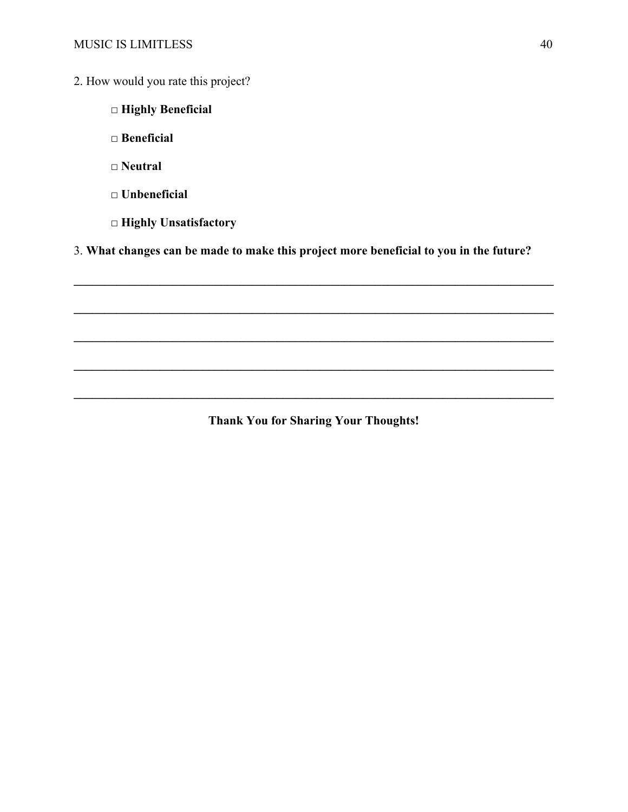- 2. How would you rate this project?
	- **□ Highly Beneficial**
	- **□ Beneficial**
	- **□ Neutral**
	- **□ Unbeneficial**
	- **□ Highly Unsatisfactory**

3. **What changes can be made to make this project more beneficial to you in the future?** 

 $\mathcal{L}_\mathcal{L} = \{ \mathcal{L}_\mathcal{L} = \{ \mathcal{L}_\mathcal{L} = \{ \mathcal{L}_\mathcal{L} = \{ \mathcal{L}_\mathcal{L} = \{ \mathcal{L}_\mathcal{L} = \{ \mathcal{L}_\mathcal{L} = \{ \mathcal{L}_\mathcal{L} = \{ \mathcal{L}_\mathcal{L} = \{ \mathcal{L}_\mathcal{L} = \{ \mathcal{L}_\mathcal{L} = \{ \mathcal{L}_\mathcal{L} = \{ \mathcal{L}_\mathcal{L} = \{ \mathcal{L}_\mathcal{L} = \{ \mathcal{L}_\mathcal{$ 

 $\mathcal{L}_\mathcal{L} = \{ \mathcal{L}_\mathcal{L} = \{ \mathcal{L}_\mathcal{L} = \{ \mathcal{L}_\mathcal{L} = \{ \mathcal{L}_\mathcal{L} = \{ \mathcal{L}_\mathcal{L} = \{ \mathcal{L}_\mathcal{L} = \{ \mathcal{L}_\mathcal{L} = \{ \mathcal{L}_\mathcal{L} = \{ \mathcal{L}_\mathcal{L} = \{ \mathcal{L}_\mathcal{L} = \{ \mathcal{L}_\mathcal{L} = \{ \mathcal{L}_\mathcal{L} = \{ \mathcal{L}_\mathcal{L} = \{ \mathcal{L}_\mathcal{$ 

 $\mathcal{L}_\mathcal{L} = \{ \mathcal{L}_\mathcal{L} = \{ \mathcal{L}_\mathcal{L} = \{ \mathcal{L}_\mathcal{L} = \{ \mathcal{L}_\mathcal{L} = \{ \mathcal{L}_\mathcal{L} = \{ \mathcal{L}_\mathcal{L} = \{ \mathcal{L}_\mathcal{L} = \{ \mathcal{L}_\mathcal{L} = \{ \mathcal{L}_\mathcal{L} = \{ \mathcal{L}_\mathcal{L} = \{ \mathcal{L}_\mathcal{L} = \{ \mathcal{L}_\mathcal{L} = \{ \mathcal{L}_\mathcal{L} = \{ \mathcal{L}_\mathcal{$ 

 $\mathcal{L}_\mathcal{L} = \{ \mathcal{L}_\mathcal{L} = \{ \mathcal{L}_\mathcal{L} = \{ \mathcal{L}_\mathcal{L} = \{ \mathcal{L}_\mathcal{L} = \{ \mathcal{L}_\mathcal{L} = \{ \mathcal{L}_\mathcal{L} = \{ \mathcal{L}_\mathcal{L} = \{ \mathcal{L}_\mathcal{L} = \{ \mathcal{L}_\mathcal{L} = \{ \mathcal{L}_\mathcal{L} = \{ \mathcal{L}_\mathcal{L} = \{ \mathcal{L}_\mathcal{L} = \{ \mathcal{L}_\mathcal{L} = \{ \mathcal{L}_\mathcal{$ 

**Thank You for Sharing Your Thoughts!**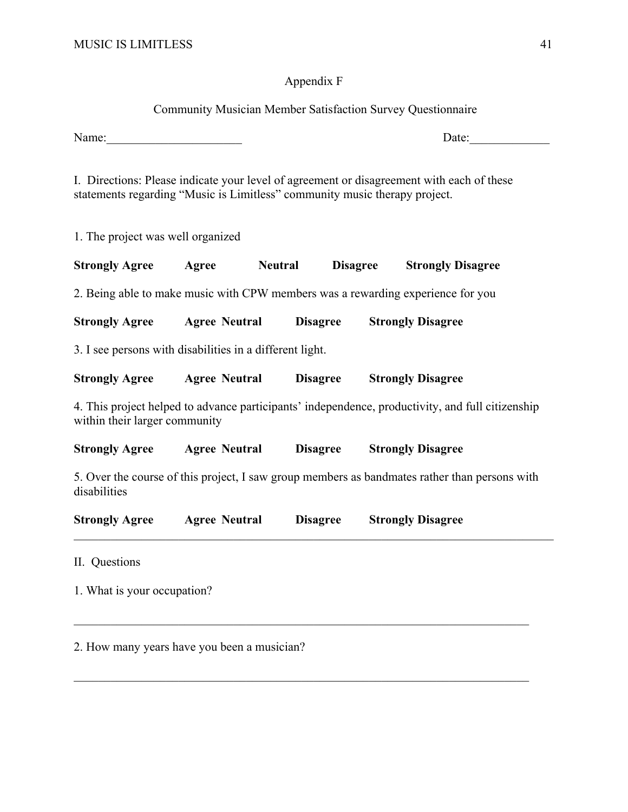## Appendix F

## Community Musician Member Satisfaction Survey Questionnaire

Name:\_\_\_\_\_\_\_\_\_\_\_\_\_\_\_\_\_\_\_\_\_\_ Date:\_\_\_\_\_\_\_\_\_\_\_\_\_

I. Directions: Please indicate your level of agreement or disagreement with each of these statements regarding "Music is Limitless" community music therapy project.

1. The project was well organized

| <b>Strongly Agree</b>                                                           | Agree                | <b>Neutral</b>  | <b>Disagree</b> | <b>Strongly Disagree</b>                                                                         |
|---------------------------------------------------------------------------------|----------------------|-----------------|-----------------|--------------------------------------------------------------------------------------------------|
| 2. Being able to make music with CPW members was a rewarding experience for you |                      |                 |                 |                                                                                                  |
| <b>Strongly Agree</b>                                                           | <b>Agree Neutral</b> | <b>Disagree</b> |                 | <b>Strongly Disagree</b>                                                                         |
| 3. I see persons with disabilities in a different light.                        |                      |                 |                 |                                                                                                  |
| <b>Strongly Agree</b>                                                           | <b>Agree Neutral</b> | <b>Disagree</b> |                 | <b>Strongly Disagree</b>                                                                         |
| within their larger community                                                   |                      |                 |                 | 4. This project helped to advance participants' independence, productivity, and full citizenship |
| <b>Strongly Agree</b>                                                           | <b>Agree Neutral</b> | <b>Disagree</b> |                 | <b>Strongly Disagree</b>                                                                         |
| disabilities                                                                    |                      |                 |                 | 5. Over the course of this project, I saw group members as bandmates rather than persons with    |
| <b>Strongly Agree</b>                                                           | <b>Agree Neutral</b> | <b>Disagree</b> |                 | <b>Strongly Disagree</b>                                                                         |
| II. Questions                                                                   |                      |                 |                 |                                                                                                  |

 $\mathcal{L}_\mathcal{L} = \mathcal{L}_\mathcal{L} = \mathcal{L}_\mathcal{L} = \mathcal{L}_\mathcal{L} = \mathcal{L}_\mathcal{L} = \mathcal{L}_\mathcal{L} = \mathcal{L}_\mathcal{L} = \mathcal{L}_\mathcal{L} = \mathcal{L}_\mathcal{L} = \mathcal{L}_\mathcal{L} = \mathcal{L}_\mathcal{L} = \mathcal{L}_\mathcal{L} = \mathcal{L}_\mathcal{L} = \mathcal{L}_\mathcal{L} = \mathcal{L}_\mathcal{L} = \mathcal{L}_\mathcal{L} = \mathcal{L}_\mathcal{L}$ 

1. What is your occupation?

2. How many years have you been a musician?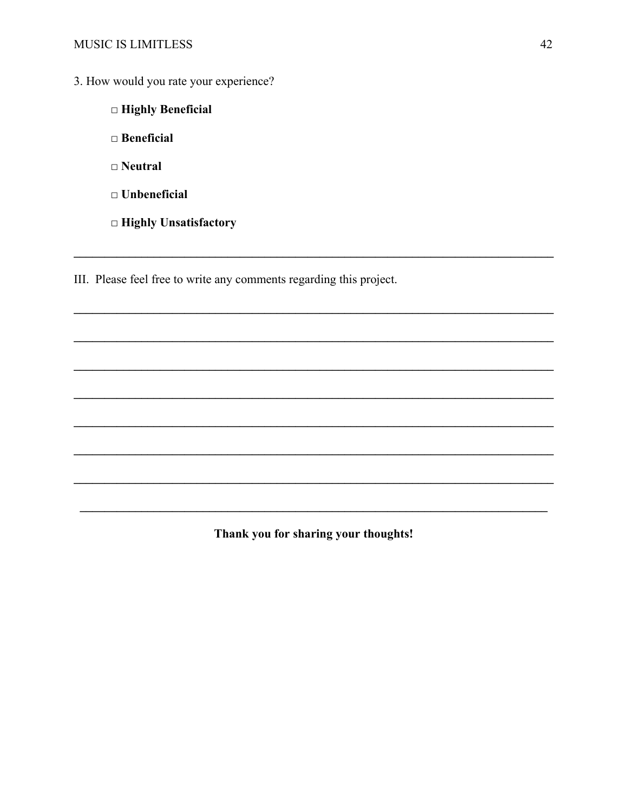- 3. How would you rate your experience?
	- □ Highly Beneficial
	- $\Box$  Beneficial
	- $\Box$  Neutral
	- $\Box$  Unbeneficial
	- $\Box$  Highly Unsatisfactory

III. Please feel free to write any comments regarding this project.

Thank you for sharing your thoughts!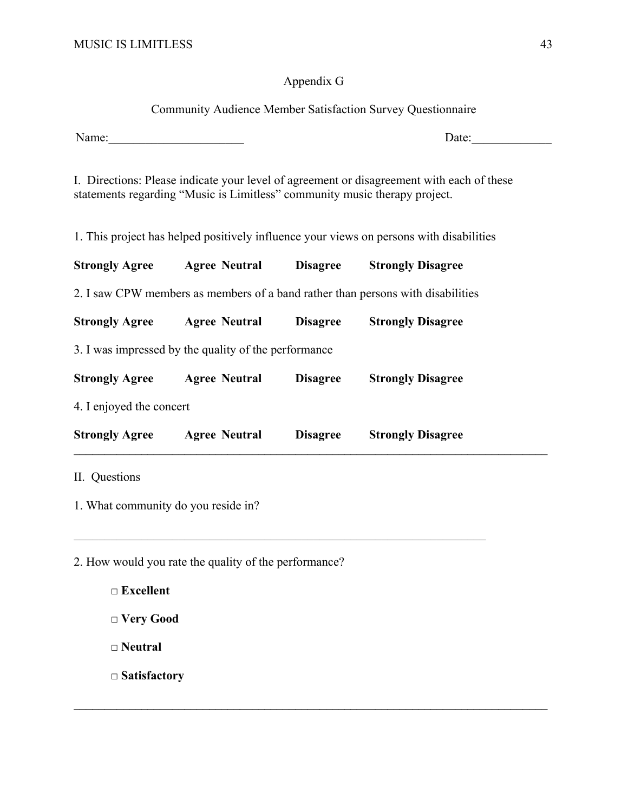## Appendix G

## Community Audience Member Satisfaction Survey Questionnaire

Name:\_\_\_\_\_\_\_\_\_\_\_\_\_\_\_\_\_\_\_\_\_\_ Date:\_\_\_\_\_\_\_\_\_\_\_\_\_

I. Directions: Please indicate your level of agreement or disagreement with each of these statements regarding "Music is Limitless" community music therapy project.

1. This project has helped positively influence your views on persons with disabilities

| <b>Strongly Agree</b>    | <b>Agree Neutral</b>                                 | <b>Disagree</b> | <b>Strongly Disagree</b>                                                        |
|--------------------------|------------------------------------------------------|-----------------|---------------------------------------------------------------------------------|
|                          |                                                      |                 | 2. I saw CPW members as members of a band rather than persons with disabilities |
| <b>Strongly Agree</b>    | <b>Agree Neutral</b>                                 | <b>Disagree</b> | <b>Strongly Disagree</b>                                                        |
|                          | 3. I was impressed by the quality of the performance |                 |                                                                                 |
| <b>Strongly Agree</b>    | <b>Agree Neutral</b>                                 | <b>Disagree</b> | <b>Strongly Disagree</b>                                                        |
| 4. I enjoyed the concert |                                                      |                 |                                                                                 |
| <b>Strongly Agree</b>    | <b>Agree Neutral</b>                                 | <b>Disagree</b> | <b>Strongly Disagree</b>                                                        |

 $\mathcal{L}_\mathcal{L} = \mathcal{L}_\mathcal{L} = \mathcal{L}_\mathcal{L} = \mathcal{L}_\mathcal{L} = \mathcal{L}_\mathcal{L} = \mathcal{L}_\mathcal{L} = \mathcal{L}_\mathcal{L} = \mathcal{L}_\mathcal{L} = \mathcal{L}_\mathcal{L} = \mathcal{L}_\mathcal{L} = \mathcal{L}_\mathcal{L} = \mathcal{L}_\mathcal{L} = \mathcal{L}_\mathcal{L} = \mathcal{L}_\mathcal{L} = \mathcal{L}_\mathcal{L} = \mathcal{L}_\mathcal{L} = \mathcal{L}_\mathcal{L}$ 

 $\mathcal{L}_\mathcal{L} = \{ \mathcal{L}_\mathcal{L} = \{ \mathcal{L}_\mathcal{L} = \{ \mathcal{L}_\mathcal{L} = \{ \mathcal{L}_\mathcal{L} = \{ \mathcal{L}_\mathcal{L} = \{ \mathcal{L}_\mathcal{L} = \{ \mathcal{L}_\mathcal{L} = \{ \mathcal{L}_\mathcal{L} = \{ \mathcal{L}_\mathcal{L} = \{ \mathcal{L}_\mathcal{L} = \{ \mathcal{L}_\mathcal{L} = \{ \mathcal{L}_\mathcal{L} = \{ \mathcal{L}_\mathcal{L} = \{ \mathcal{L}_\mathcal{$ 

1. What community do you reside in?

2. How would you rate the quality of the performance?

□ Excellent □ Very Good  **□ Neutral** 

 **□ Satisfactory**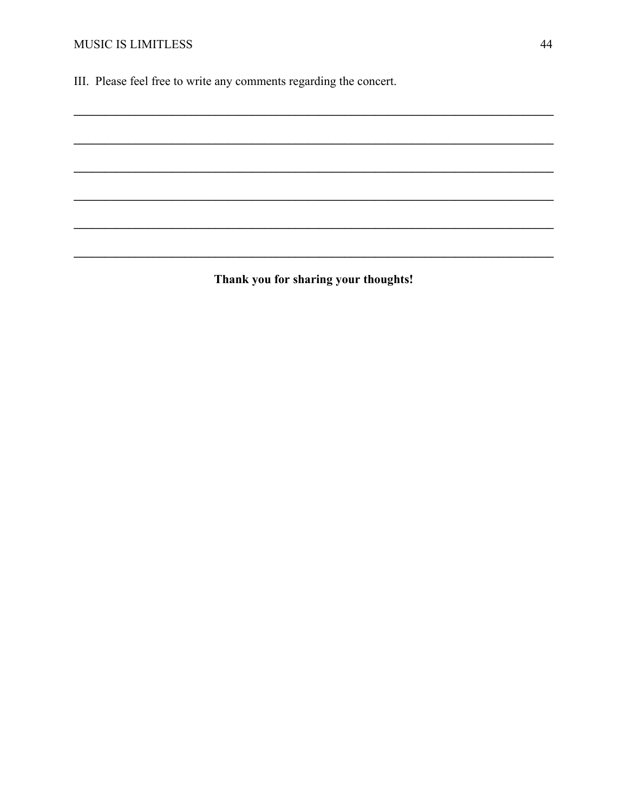III. Please feel free to write any comments regarding the concert.

Thank you for sharing your thoughts!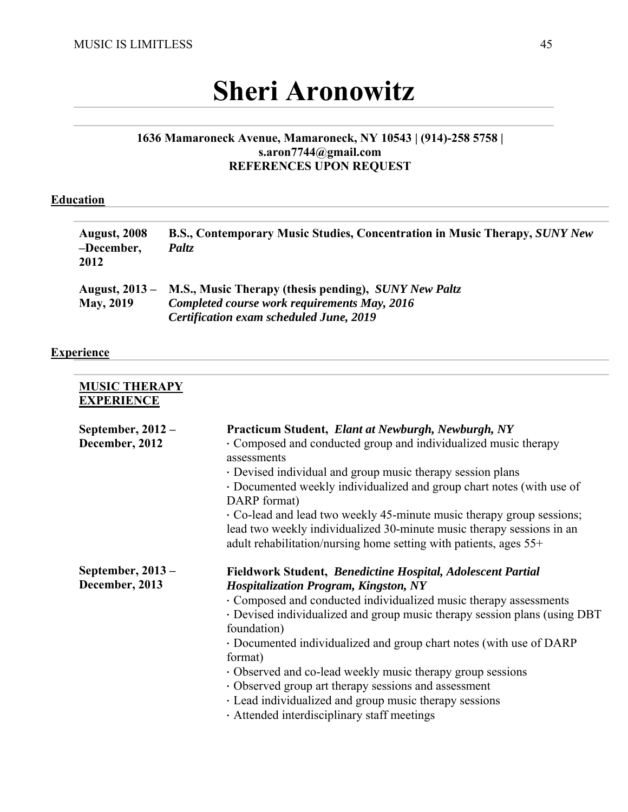# **Sheri Aronowitz**

## **1636 Mamaroneck Avenue, Mamaroneck, NY 10543 | (914)-258 5758 | s.aron7744@gmail.com REFERENCES UPON REQUEST**

## **Education**

| <b>August, 2008</b><br>-December,<br>2012 | B.S., Contemporary Music Studies, Concentration in Music Therapy, SUNY New<br>Paltz                                                                                   |
|-------------------------------------------|-----------------------------------------------------------------------------------------------------------------------------------------------------------------------|
| <b>May, 2019</b>                          | August, 2013 – M.S., Music Therapy (thesis pending), <i>SUNY New Paltz</i><br>Completed course work requirements May, 2016<br>Certification exam scheduled June, 2019 |

## **Experience**

| <b>MUSIC THERAPY</b><br><b>EXPERIENCE</b> |                                                                                                                                                                                                                                                                                                                                                                                                                                                                                                                                                                                               |
|-------------------------------------------|-----------------------------------------------------------------------------------------------------------------------------------------------------------------------------------------------------------------------------------------------------------------------------------------------------------------------------------------------------------------------------------------------------------------------------------------------------------------------------------------------------------------------------------------------------------------------------------------------|
| September, $2012 -$<br>December, 2012     | Practicum Student, Elant at Newburgh, Newburgh, NY<br>· Composed and conducted group and individualized music therapy<br>assessments<br>· Devised individual and group music therapy session plans<br>· Documented weekly individualized and group chart notes (with use of<br>DARP format)<br>• Co-lead and lead two weekly 45-minute music therapy group sessions;<br>lead two weekly individualized 30-minute music therapy sessions in an<br>adult rehabilitation/nursing home setting with patients, ages 55+                                                                            |
| September, $2013 -$<br>December, 2013     | Fieldwork Student, Benedictine Hospital, Adolescent Partial<br><b>Hospitalization Program, Kingston, NY</b><br>· Composed and conducted individualized music therapy assessments<br>· Devised individualized and group music therapy session plans (using DBT<br>foundation)<br>• Documented individualized and group chart notes (with use of DARP<br>format)<br>· Observed and co-lead weekly music therapy group sessions<br>• Observed group art therapy sessions and assessment<br>· Lead individualized and group music therapy sessions<br>· Attended interdisciplinary staff meetings |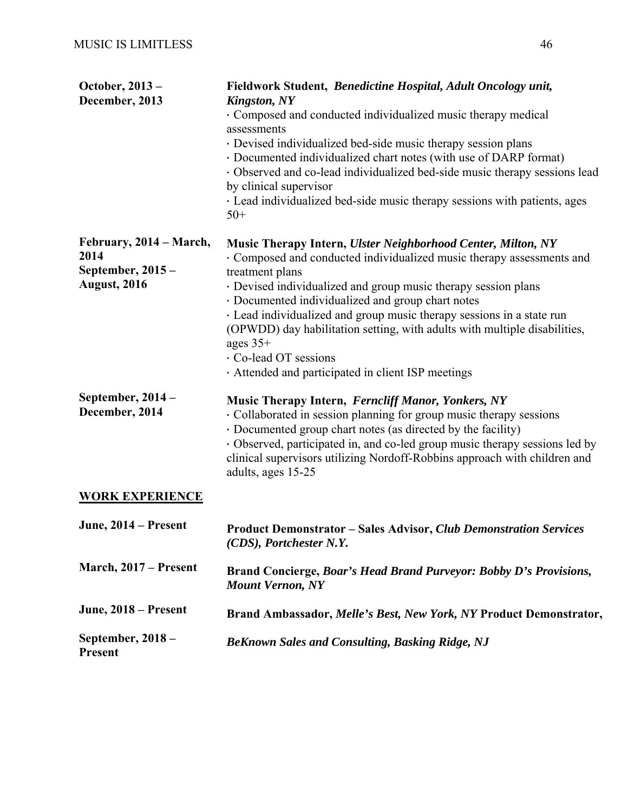| October, 2013 -<br>December, 2013                                           | Fieldwork Student, Benedictine Hospital, Adult Oncology unit,<br><b>Kingston, NY</b><br>Composed and conducted individualized music therapy medical<br>assessments<br>· Devised individualized bed-side music therapy session plans<br>· Documented individualized chart notes (with use of DARP format)<br>· Observed and co-lead individualized bed-side music therapy sessions lead<br>by clinical supervisor<br>· Lead individualized bed-side music therapy sessions with patients, ages<br>$50+$                           |
|-----------------------------------------------------------------------------|----------------------------------------------------------------------------------------------------------------------------------------------------------------------------------------------------------------------------------------------------------------------------------------------------------------------------------------------------------------------------------------------------------------------------------------------------------------------------------------------------------------------------------|
| February, 2014 – March,<br>2014<br>September, 2015 -<br><b>August, 2016</b> | Music Therapy Intern, Ulster Neighborhood Center, Milton, NY<br>· Composed and conducted individualized music therapy assessments and<br>treatment plans<br>· Devised individualized and group music therapy session plans<br>· Documented individualized and group chart notes<br>· Lead individualized and group music therapy sessions in a state run<br>(OPWDD) day habilitation setting, with adults with multiple disabilities,<br>ages $35+$<br>Co-lead OT sessions<br>· Attended and participated in client ISP meetings |
| September, 2014 -<br>December, 2014                                         | Music Therapy Intern, Ferncliff Manor, Yonkers, NY<br>· Collaborated in session planning for group music therapy sessions<br>· Documented group chart notes (as directed by the facility)<br>· Observed, participated in, and co-led group music therapy sessions led by<br>clinical supervisors utilizing Nordoff-Robbins approach with children and<br>adults, ages 15-25                                                                                                                                                      |
| <b>WORK EXPERIENCE</b>                                                      |                                                                                                                                                                                                                                                                                                                                                                                                                                                                                                                                  |
| June, 2014 – Present                                                        | <b>Product Demonstrator - Sales Advisor, Club Demonstration Services</b><br>(CDS), Portchester N.Y.                                                                                                                                                                                                                                                                                                                                                                                                                              |
| March, 2017 – Present                                                       | Brand Concierge, Boar's Head Brand Purveyor: Bobby D's Provisions,<br><b>Mount Vernon, NY</b>                                                                                                                                                                                                                                                                                                                                                                                                                                    |
| June, 2018 – Present                                                        | Brand Ambassador, Melle's Best, New York, NY Product Demonstrator,                                                                                                                                                                                                                                                                                                                                                                                                                                                               |
| September, 2018 -<br><b>Present</b>                                         | <b>BeKnown Sales and Consulting, Basking Ridge, NJ</b>                                                                                                                                                                                                                                                                                                                                                                                                                                                                           |